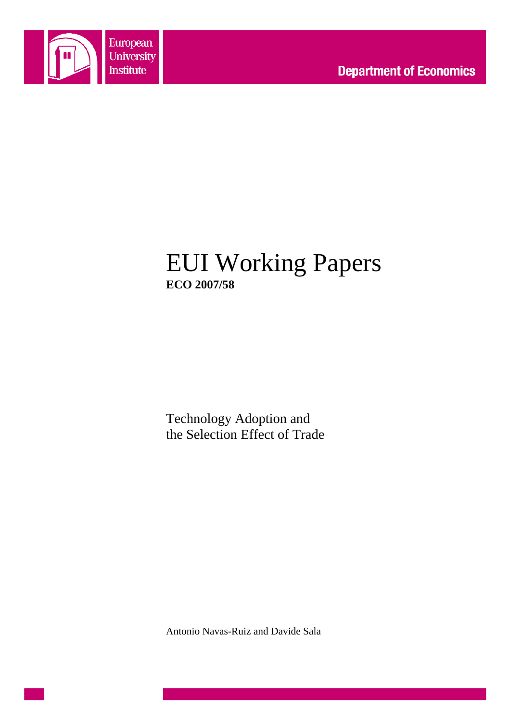

# EUI Working Papers **ECO 2007/58**

Technology Adoption and the Selection Effect of Trade

Antonio Navas-Ruiz and Davide Sala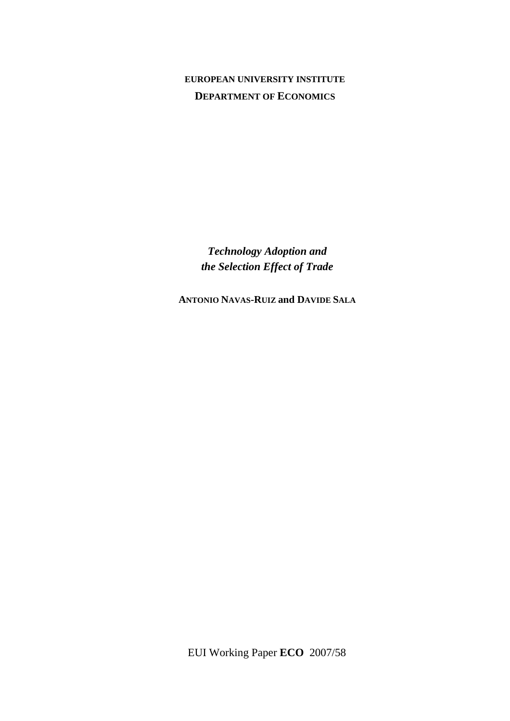# **EUROPEAN UNIVERSITY INSTITUTE DEPARTMENT OF ECONOMICS**

*Technology Adoption and the Selection Effect of Trade* 

**ANTONIO NAVAS-RUIZ and DAVIDE SALA**

EUI Working Paper **ECO** 2007/58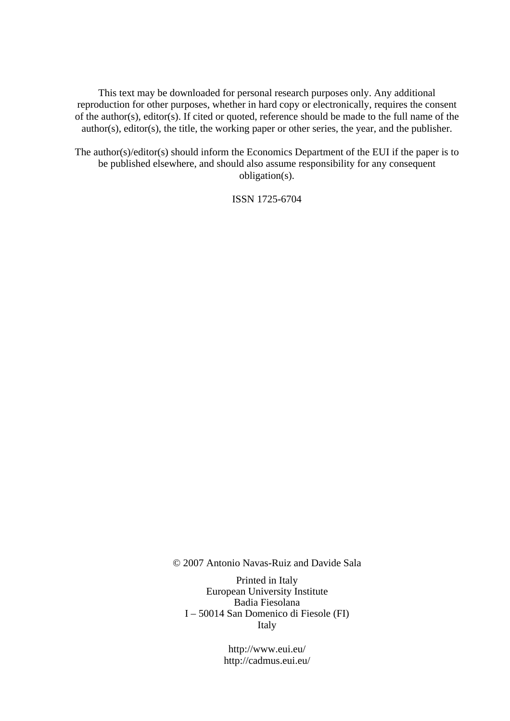This text may be downloaded for personal research purposes only. Any additional reproduction for other purposes, whether in hard copy or electronically, requires the consent of the author(s), editor(s). If cited or quoted, reference should be made to the full name of the author(s), editor(s), the title, the working paper or other series, the year, and the publisher.

The author(s)/editor(s) should inform the Economics Department of the EUI if the paper is to be published elsewhere, and should also assume responsibility for any consequent obligation(s).

ISSN 1725-6704

© 2007 Antonio Navas-Ruiz and Davide Sala

Printed in Italy European University Institute Badia Fiesolana I – 50014 San Domenico di Fiesole (FI) Italy

> http://www.eui.eu/ http://cadmus.eui.eu/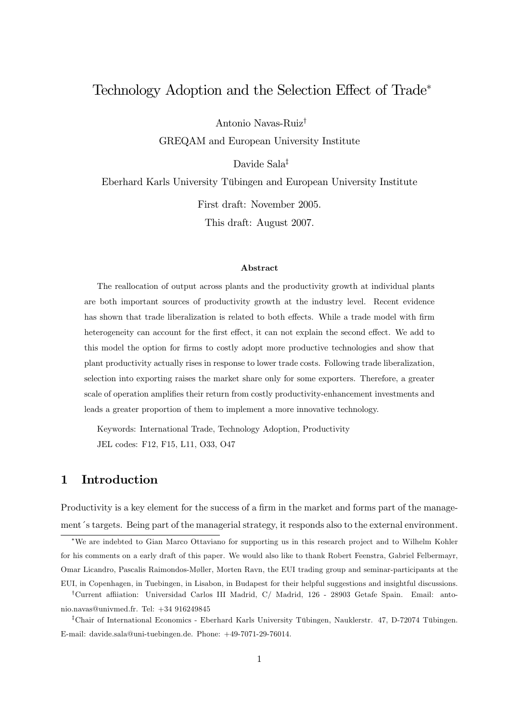# Technology Adoption and the Selection Effect of Trade<sup>\*</sup>

Antonio Navas-Ruiz†

GREQAM and European University Institute

Davide Sala‡

Eberhard Karls University Tübingen and European University Institute

First draft: November 2005.

This draft: August 2007.

#### Abstract

The reallocation of output across plants and the productivity growth at individual plants are both important sources of productivity growth at the industry level. Recent evidence has shown that trade liberalization is related to both effects. While a trade model with firm heterogeneity can account for the first effect, it can not explain the second effect. We add to this model the option for firms to costly adopt more productive technologies and show that plant productivity actually rises in response to lower trade costs. Following trade liberalization, selection into exporting raises the market share only for some exporters. Therefore, a greater scale of operation amplifies their return from costly productivity-enhancement investments and leads a greater proportion of them to implement a more innovative technology.

Keywords: International Trade, Technology Adoption, Productivity JEL codes: F12, F15, L11, O33, O47

# 1 Introduction

Productivity is a key element for the success of a firm in the market and forms part of the management´s targets. Being part of the managerial strategy, it responds also to the external environment.

<sup>\*</sup>We are indebted to Gian Marco Ottaviano for supporting us in this research project and to Wilhelm Kohler for his comments on a early draft of this paper. We would also like to thank Robert Feenstra, Gabriel Felbermayr, Omar Licandro, Pascalis Raimondos-Møller, Morten Ravn, the EUI trading group and seminar-participants at the

EUI, in Copenhagen, in Tuebingen, in Lisabon, in Budapest for their helpful suggestions and insightful discussions. <sup>†</sup>Current affiiation: Universidad Carlos III Madrid, C/ Madrid, 126 - 28903 Getafe Spain. Email: antonio.navas@univmed.fr. Tel: +34 916249845

<sup>‡</sup>Chair of International Economics - Eberhard Karls University Tübingen, Nauklerstr. 47, D-72074 Tübingen. E-mail: davide.sala@uni-tuebingen.de. Phone: +49-7071-29-76014.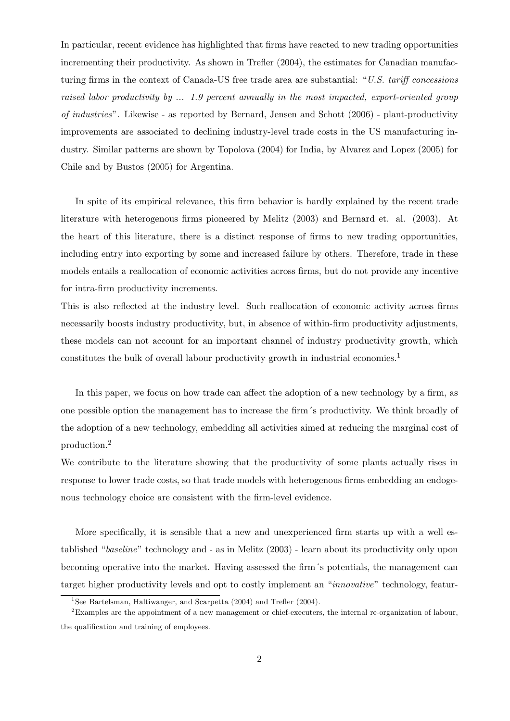In particular, recent evidence has highlighted that firms have reacted to new trading opportunities incrementing their productivity. As shown in Trefler (2004), the estimates for Canadian manufacturing firms in the context of Canada-US free trade area are substantial: " $U.S.$  tariff concessions raised labor productivity by ... 1.9 percent annually in the most impacted, export-oriented group of industries". Likewise - as reported by Bernard, Jensen and Schott (2006) - plant-productivity improvements are associated to declining industry-level trade costs in the US manufacturing industry. Similar patterns are shown by Topolova (2004) for India, by Alvarez and Lopez (2005) for Chile and by Bustos (2005) for Argentina.

In spite of its empirical relevance, this firm behavior is hardly explained by the recent trade literature with heterogenous firms pioneered by Melitz (2003) and Bernard et. al. (2003). At the heart of this literature, there is a distinct response of firms to new trading opportunities, including entry into exporting by some and increased failure by others. Therefore, trade in these models entails a reallocation of economic activities across firms, but do not provide any incentive for intra-firm productivity increments.

This is also reflected at the industry level. Such reallocation of economic activity across firms necessarily boosts industry productivity, but, in absence of within-firm productivity adjustments, these models can not account for an important channel of industry productivity growth, which constitutes the bulk of overall labour productivity growth in industrial economies.<sup>1</sup>

In this paper, we focus on how trade can affect the adoption of a new technology by a firm, as one possible option the management has to increase the firm´s productivity. We think broadly of the adoption of a new technology, embedding all activities aimed at reducing the marginal cost of production.<sup>2</sup>

We contribute to the literature showing that the productivity of some plants actually rises in response to lower trade costs, so that trade models with heterogenous firms embedding an endogenous technology choice are consistent with the firm-level evidence.

More specifically, it is sensible that a new and unexperienced firm starts up with a well established "baseline" technology and - as in Melitz (2003) - learn about its productivity only upon becoming operative into the market. Having assessed the firm´s potentials, the management can target higher productivity levels and opt to costly implement an "innovative" technology, featur-

<sup>&</sup>lt;sup>1</sup>See Bartelsman, Haltiwanger, and Scarpetta  $(2004)$  and Trefler  $(2004)$ .

<sup>2</sup>Examples are the appointment of a new management or chief-executers, the internal re-organization of labour, the qualification and training of employees.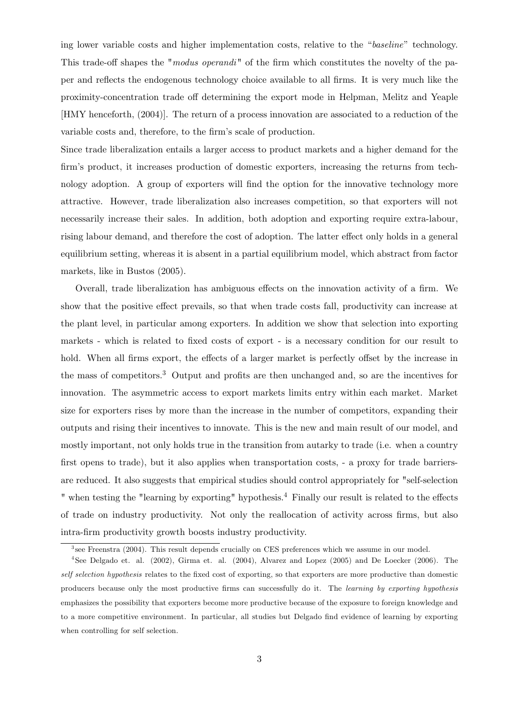ing lower variable costs and higher implementation costs, relative to the "baseline" technology. This trade-off shapes the "modus operandi" of the firm which constitutes the novelty of the paper and reflects the endogenous technology choice available to all firms. It is very much like the proximity-concentration trade off determining the export mode in Helpman, Melitz and Yeaple [HMY henceforth, (2004)]. The return of a process innovation are associated to a reduction of the variable costs and, therefore, to the firm's scale of production.

Since trade liberalization entails a larger access to product markets and a higher demand for the firm's product, it increases production of domestic exporters, increasing the returns from technology adoption. A group of exporters will find the option for the innovative technology more attractive. However, trade liberalization also increases competition, so that exporters will not necessarily increase their sales. In addition, both adoption and exporting require extra-labour, rising labour demand, and therefore the cost of adoption. The latter effect only holds in a general equilibrium setting, whereas it is absent in a partial equilibrium model, which abstract from factor markets, like in Bustos (2005).

Overall, trade liberalization has ambiguous effects on the innovation activity of a firm. We show that the positive effect prevails, so that when trade costs fall, productivity can increase at the plant level, in particular among exporters. In addition we show that selection into exporting markets - which is related to fixed costs of export - is a necessary condition for our result to hold. When all firms export, the effects of a larger market is perfectly offset by the increase in the mass of competitors.<sup>3</sup> Output and profits are then unchanged and, so are the incentives for innovation. The asymmetric access to export markets limits entry within each market. Market size for exporters rises by more than the increase in the number of competitors, expanding their outputs and rising their incentives to innovate. This is the new and main result of our model, and mostly important, not only holds true in the transition from autarky to trade (i.e. when a country first opens to trade), but it also applies when transportation costs, - a proxy for trade barriersare reduced. It also suggests that empirical studies should control appropriately for "self-selection " when testing the "learning by exporting" hypothesis.<sup>4</sup> Finally our result is related to the effects of trade on industry productivity. Not only the reallocation of activity across firms, but also intra-firm productivity growth boosts industry productivity.

 $3$  see Freenstra (2004). This result depends crucially on CES preferences which we assume in our model.

<sup>&</sup>lt;sup>4</sup>See Delgado et. al. (2002), Girma et. al. (2004), Alvarez and Lopez (2005) and De Loecker (2006). The self selection hypothesis relates to the fixed cost of exporting, so that exporters are more productive than domestic producers because only the most productive firms can successfully do it. The learning by exporting hypothesis emphasizes the possibility that exporters become more productive because of the exposure to foreign knowledge and to a more competitive environment. In particular, all studies but Delgado find evidence of learning by exporting when controlling for self selection.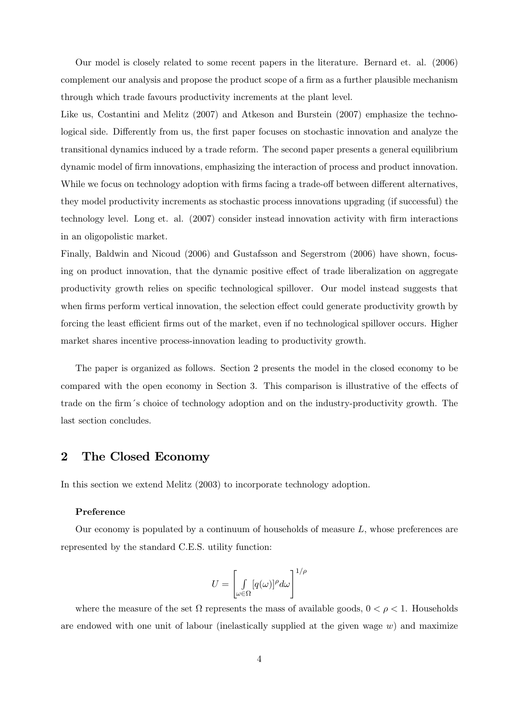Our model is closely related to some recent papers in the literature. Bernard et. al. (2006) complement our analysis and propose the product scope of a firm as a further plausible mechanism through which trade favours productivity increments at the plant level.

Like us, Costantini and Melitz (2007) and Atkeson and Burstein (2007) emphasize the technological side. Differently from us, the first paper focuses on stochastic innovation and analyze the transitional dynamics induced by a trade reform. The second paper presents a general equilibrium dynamic model of firm innovations, emphasizing the interaction of process and product innovation. While we focus on technology adoption with firms facing a trade-off between different alternatives, they model productivity increments as stochastic process innovations upgrading (if successful) the technology level. Long et. al. (2007) consider instead innovation activity with firm interactions in an oligopolistic market.

Finally, Baldwin and Nicoud (2006) and Gustafsson and Segerstrom (2006) have shown, focusing on product innovation, that the dynamic positive effect of trade liberalization on aggregate productivity growth relies on specific technological spillover. Our model instead suggests that when firms perform vertical innovation, the selection effect could generate productivity growth by forcing the least efficient firms out of the market, even if no technological spillover occurs. Higher market shares incentive process-innovation leading to productivity growth.

The paper is organized as follows. Section 2 presents the model in the closed economy to be compared with the open economy in Section 3. This comparison is illustrative of the effects of trade on the firm´s choice of technology adoption and on the industry-productivity growth. The last section concludes.

## 2 The Closed Economy

In this section we extend Melitz (2003) to incorporate technology adoption.

#### Preference

Our economy is populated by a continuum of households of measure  $L$ , whose preferences are represented by the standard C.E.S. utility function:

$$
U=\left[\int\limits_{\omega\in\Omega}[q(\omega)]^{\rho}d\omega\right]^{1/\rho}
$$

where the measure of the set  $\Omega$  represents the mass of available goods,  $0 < \rho < 1$ . Households are endowed with one unit of labour (inelastically supplied at the given wage  $w$ ) and maximize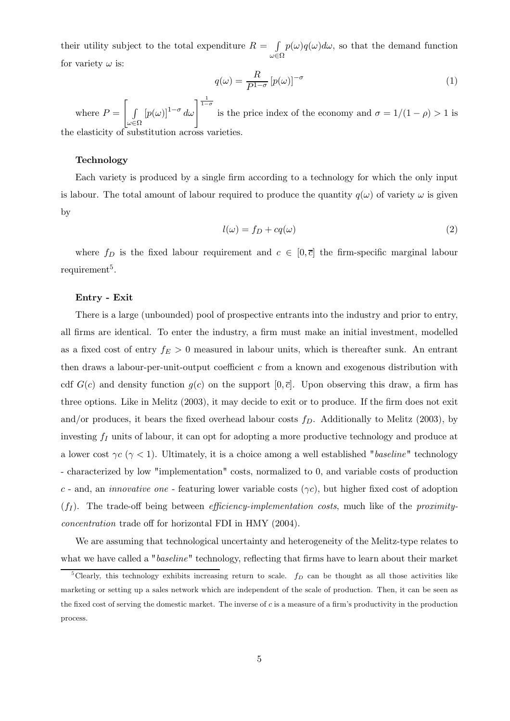their utility subject to the total expenditure  $R = \int$  $\omega{\in}\Omega$  $p(\omega)q(\omega)d\omega$ , so that the demand function for variety  $\omega$  is:

$$
q(\omega) = \frac{R}{P^{1-\sigma}} \left[ p(\omega) \right]^{-\sigma} \tag{1}
$$

where  $P = \begin{bmatrix} 1 & 1 \\ 1 & 1 \end{bmatrix}$  $\omega \in \Omega$  $[p(\omega)]^{1-\sigma} d\omega$  is the price index of the economy and  $\sigma = 1/(1-\rho) > 1$  is the elasticity of substitution across varieties.

#### Technology

Each variety is produced by a single firm according to a technology for which the only input is labour. The total amount of labour required to produce the quantity  $q(\omega)$  of variety  $\omega$  is given by

$$
l(\omega) = f_D + cq(\omega)
$$
 (2)

where  $f_D$  is the fixed labour requirement and  $c \in [0,\overline{c}]$  the firm-specific marginal labour requirement<sup>5</sup>.

#### Entry - Exit

There is a large (unbounded) pool of prospective entrants into the industry and prior to entry, all firms are identical. To enter the industry, a firm must make an initial investment, modelled as a fixed cost of entry  $f_E > 0$  measured in labour units, which is thereafter sunk. An entrant then draws a labour-per-unit-output coefficient  $c$  from a known and exogenous distribution with cdf  $G(c)$  and density function  $g(c)$  on the support  $[0, \overline{c}]$ . Upon observing this draw, a firm has three options. Like in Melitz (2003), it may decide to exit or to produce. If the firm does not exit and/or produces, it bears the fixed overhead labour costs  $f<sub>D</sub>$ . Additionally to Melitz (2003), by investing  $f_I$  units of labour, it can opt for adopting a more productive technology and produce at a lower cost  $\gamma c$  ( $\gamma$  < 1). Ultimately, it is a choice among a well established "baseline" technology - characterized by low "implementation" costs, normalized to 0, and variable costs of production c - and, an *innovative one* - featuring lower variable costs  $(\gamma c)$ , but higher fixed cost of adoption  $(f_I)$ . The trade-off being between *efficiency-implementation costs*, much like of the *proximity* $concentration$  trade off for horizontal FDI in HMY (2004).

We are assuming that technological uncertainty and heterogeneity of the Melitz-type relates to what we have called a "*baseline*" technology, reflecting that firms have to learn about their market

<sup>&</sup>lt;sup>5</sup>Clearly, this technology exhibits increasing return to scale.  $f_D$  can be thought as all those activities like marketing or setting up a sales network which are independent of the scale of production. Then, it can be seen as the fixed cost of serving the domestic market. The inverse of  $c$  is a measure of a firm's productivity in the production process.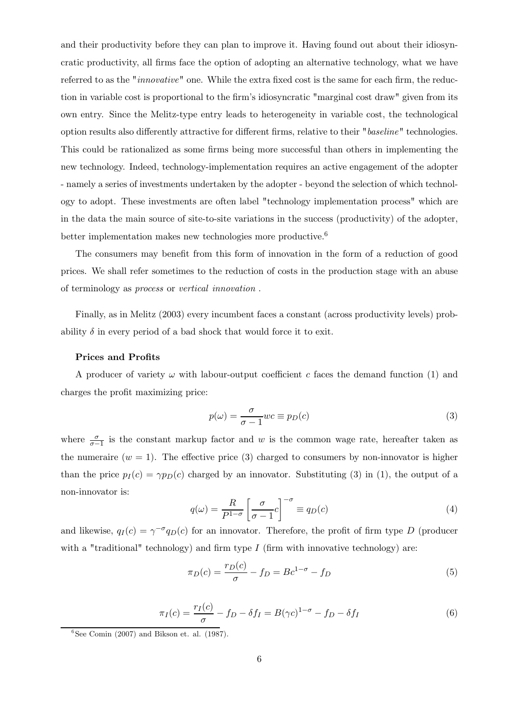and their productivity before they can plan to improve it. Having found out about their idiosyncratic productivity, all firms face the option of adopting an alternative technology, what we have referred to as the "innovative" one. While the extra fixed cost is the same for each firm, the reduction in variable cost is proportional to the firm's idiosyncratic "marginal cost draw" given from its own entry. Since the Melitz-type entry leads to heterogeneity in variable cost, the technological option results also differently attractive for different firms, relative to their "baseline" technologies. This could be rationalized as some firms being more successful than others in implementing the new technology. Indeed, technology-implementation requires an active engagement of the adopter - namely a series of investments undertaken by the adopter - beyond the selection of which technology to adopt. These investments are often label "technology implementation process" which are in the data the main source of site-to-site variations in the success (productivity) of the adopter, better implementation makes new technologies more productive.<sup>6</sup>

The consumers may benefit from this form of innovation in the form of a reduction of good prices. We shall refer sometimes to the reduction of costs in the production stage with an abuse of terminology as process or vertical innovation .

Finally, as in Melitz (2003) every incumbent faces a constant (across productivity levels) probability  $\delta$  in every period of a bad shock that would force it to exit.

#### Prices and Profits

A producer of variety  $\omega$  with labour-output coefficient c faces the demand function (1) and charges the profit maximizing price:

$$
p(\omega) = \frac{\sigma}{\sigma - 1} w c \equiv p_D(c)
$$
 (3)

where  $\frac{\sigma}{\sigma-1}$  is the constant markup factor and w is the common wage rate, hereafter taken as the numeraire  $(w = 1)$ . The effective price (3) charged to consumers by non-innovator is higher than the price  $p_I(c) = \gamma p_I(c)$  charged by an innovator. Substituting (3) in (1), the output of a non-innovator is:

$$
q(\omega) = \frac{R}{P^{1-\sigma}} \left[ \frac{\sigma}{\sigma - 1} c \right]^{-\sigma} \equiv q_D(c) \tag{4}
$$

and likewise,  $q_I(c) = \gamma^{-\sigma} q_D(c)$  for an innovator. Therefore, the profit of firm type D (producer with a "traditional" technology) and firm type  $I$  (firm with innovative technology) are:

$$
\pi_D(c) = \frac{r_D(c)}{\sigma} - f_D = Bc^{1-\sigma} - f_D \tag{5}
$$

$$
\pi_I(c) = \frac{r_I(c)}{\sigma} - f_D - \delta f_I = B(\gamma c)^{1-\sigma} - f_D - \delta f_I \tag{6}
$$

 $6$ See Comin (2007) and Bikson et. al. (1987).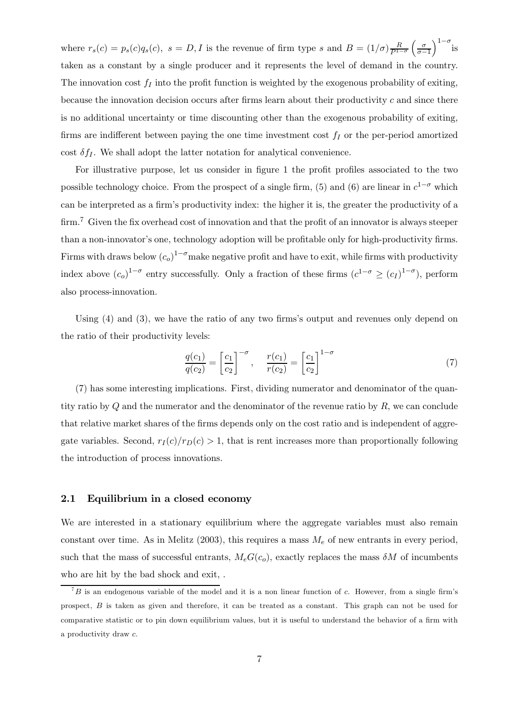where  $r_s(c) = p_s(c)q_s(c)$ ,  $s = D, I$  is the revenue of firm type s and  $B = (1/\sigma)\frac{R}{P^{1-\sigma}}\left(\frac{\sigma}{\sigma-1}\right)^{1-\sigma}$  is taken as a constant by a single producer and it represents the level of demand in the country. The innovation cost  $f_I$  into the profit function is weighted by the exogenous probability of exiting, because the innovation decision occurs after firms learn about their productivity  $c$  and since there is no additional uncertainty or time discounting other than the exogenous probability of exiting, firms are indifferent between paying the one time investment cost  $f_I$  or the per-period amortized cost  $\delta f_I$ . We shall adopt the latter notation for analytical convenience.

For illustrative purpose, let us consider in figure 1 the profit profiles associated to the two possible technology choice. From the prospect of a single firm, (5) and (6) are linear in  $c^{1-\sigma}$  which can be interpreted as a firm's productivity index: the higher it is, the greater the productivity of a firm.<sup>7</sup> Given the fix overhead cost of innovation and that the profit of an innovator is always steeper than a non-innovator's one, technology adoption will be profitable only for high-productivity firms. Firms with draws below  $(c_o)^{1-\sigma}$  make negative profit and have to exit, while firms with productivity index above  $(c_o)^{1-\sigma}$  entry successfully. Only a fraction of these firms  $(c^{1-\sigma} \geq (c_I)^{1-\sigma})$ , perform also process-innovation.

Using (4) and (3), we have the ratio of any two firms's output and revenues only depend on the ratio of their productivity levels:

$$
\frac{q(c_1)}{q(c_2)} = \left[\frac{c_1}{c_2}\right]^{-\sigma}, \quad \frac{r(c_1)}{r(c_2)} = \left[\frac{c_1}{c_2}\right]^{1-\sigma} \tag{7}
$$

(7) has some interesting implications. First, dividing numerator and denominator of the quantity ratio by  $Q$  and the numerator and the denominator of the revenue ratio by  $R$ , we can conclude that relative market shares of the firms depends only on the cost ratio and is independent of aggregate variables. Second,  $r_I(c)/r_D(c) > 1$ , that is rent increases more than proportionally following the introduction of process innovations.

#### 2.1 Equilibrium in a closed economy

We are interested in a stationary equilibrium where the aggregate variables must also remain constant over time. As in Melitz (2003), this requires a mass  $M_e$  of new entrants in every period, such that the mass of successful entrants,  $M_eG(c_o)$ , exactly replaces the mass  $\delta M$  of incumbents who are hit by the bad shock and exit, .

 ${}^{7}B$  is an endogenous variable of the model and it is a non linear function of c. However, from a single firm's prospect, E is taken as given and therefore, it can be treated as a constant. This graph can not be used for comparative statistic or to pin down equilibrium values, but it is useful to understand the behavior of a firm with a productivity draw  $c$ .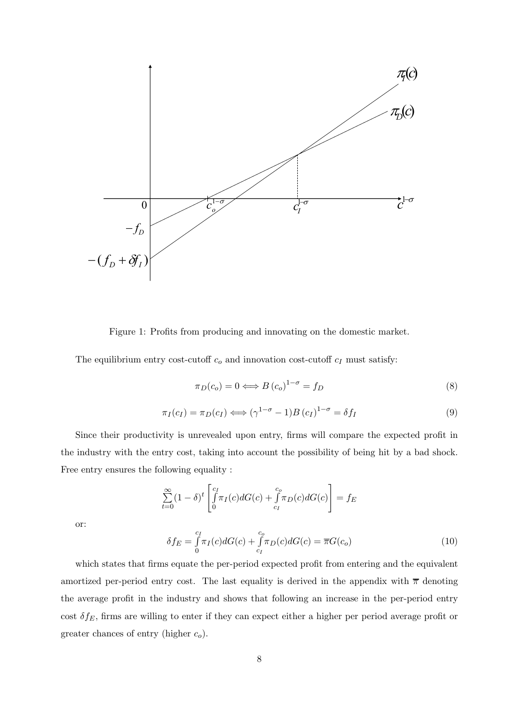

Figure 1: Profits from producing and innovating on the domestic market.

The equilibrium entry cost-cutoff  $c_0$  and innovation cost-cutoff  $c_I$  must satisfy:

$$
\pi_D(c_o) = 0 \Longleftrightarrow B(c_o)^{1-\sigma} = f_D \tag{8}
$$

$$
\pi_I(c_I) = \pi_D(c_I) \Longleftrightarrow (\gamma^{1-\sigma} - 1)B(c_I)^{1-\sigma} = \delta f_I
$$
\n(9)

Since their productivity is unrevealed upon entry, firms will compare the expected profit in the industry with the entry cost, taking into account the possibility of being hit by a bad shock. Free entry ensures the following equality :

$$
\sum_{t=0}^{\infty} (1 - \delta)^t \left[ \int_0^{c_I} \pi_I(c) dG(c) + \int_{c_I}^{c_o} \pi_D(c) dG(c) \right] = f_E
$$

or:

$$
\delta f_E = \int_{0}^{c_I} \pi_I(c) dG(c) + \int_{c_I}^{c_o} \pi_D(c) dG(c) = \overline{\pi} G(c_o)
$$
\n(10)

which states that firms equate the per-period expected profit from entering and the equivalent amortized per-period entry cost. The last equality is derived in the appendix with  $\bar{\pi}$  denoting the average profit in the industry and shows that following an increase in the per-period entry cost  $\delta f_E$ , firms are willing to enter if they can expect either a higher per period average profit or greater chances of entry (higher  $c_o$ ).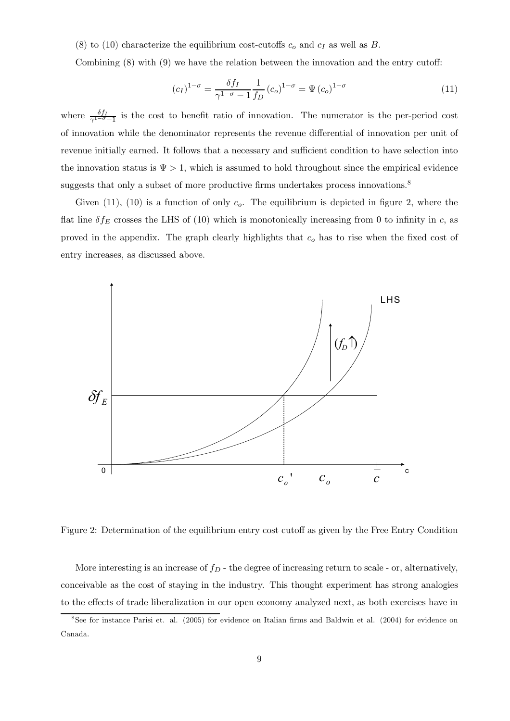(8) to (10) characterize the equilibrium cost-cutoffs  $c<sub>o</sub>$  and  $c<sub>I</sub>$  as well as B.

Combining  $(8)$  with  $(9)$  we have the relation between the innovation and the entry cutoff:

$$
\left(c_{I}\right)^{1-\sigma} = \frac{\delta f_{I}}{\gamma^{1-\sigma} - 1} \frac{1}{f_{D}} \left(c_{o}\right)^{1-\sigma} = \Psi\left(c_{o}\right)^{1-\sigma} \tag{11}
$$

where  $\frac{\delta f_I}{\gamma^{1-\sigma}-1}$  is the cost to benefit ratio of innovation. The numerator is the per-period cost of innovation while the denominator represents the revenue dierential of innovation per unit of revenue initially earned. It follows that a necessary and sufficient condition to have selection into the innovation status is  $\Psi > 1$ , which is assumed to hold throughout since the empirical evidence suggests that only a subset of more productive firms undertakes process innovations. $8$ 

Given (11), (10) is a function of only  $c<sub>o</sub>$ . The equilibrium is depicted in figure 2, where the flat line  $\delta f_E$  crosses the LHS of (10) which is monotonically increasing from 0 to infinity in c, as proved in the appendix. The graph clearly highlights that  $c<sub>o</sub>$  has to rise when the fixed cost of entry increases, as discussed above.



Figure 2: Determination of the equilibrium entry cost cutoff as given by the Free Entry Condition

More interesting is an increase of  $f_D$  - the degree of increasing return to scale - or, alternatively, conceivable as the cost of staying in the industry. This thought experiment has strong analogies to the effects of trade liberalization in our open economy analyzed next, as both exercises have in

 $8$ See for instance Parisi et. al. (2005) for evidence on Italian firms and Baldwin et al. (2004) for evidence on Canada.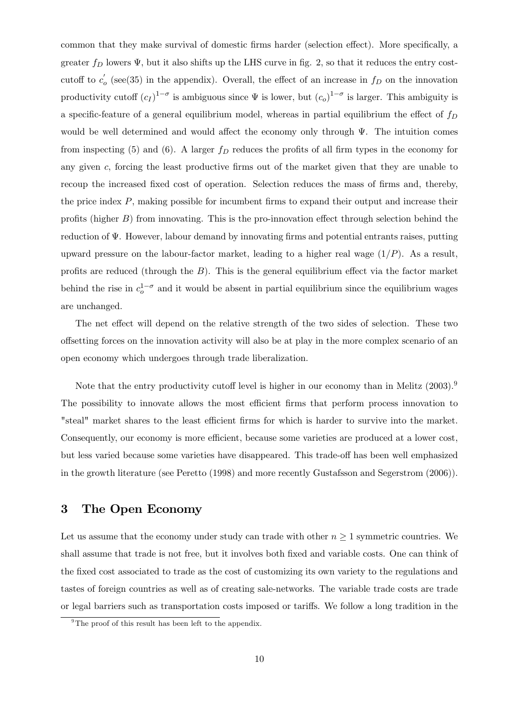common that they make survival of domestic firms harder (selection effect). More specifically, a greater  $f_D$  lowers  $\Psi$ , but it also shifts up the LHS curve in fig. 2, so that it reduces the entry costcutoff to  $c'_{o}$  (see(35) in the appendix). Overall, the effect of an increase in  $f_{D}$  on the innovation productivity cutoff  $(c_I)^{1-\sigma}$  is ambiguous since  $\Psi$  is lower, but  $(c_o)^{1-\sigma}$  is larger. This ambiguity is a specific-feature of a general equilibrium model, whereas in partial equilibrium the effect of  $f_D$ would be well determined and would affect the economy only through  $\Psi$ . The intuition comes from inspecting (5) and (6). A larger  $f_D$  reduces the profits of all firm types in the economy for any given  $c$ , forcing the least productive firms out of the market given that they are unable to recoup the increased fixed cost of operation. Selection reduces the mass of firms and, thereby, the price index  $P$ , making possible for incumbent firms to expand their output and increase their profits (higher  $B$ ) from innovating. This is the pro-innovation effect through selection behind the reduction of  $\Psi$ . However, labour demand by innovating firms and potential entrants raises, putting upward pressure on the labour-factor market, leading to a higher real wage  $(1/P)$ . As a result, profits are reduced (through the  $B$ ). This is the general equilibrium effect via the factor market behind the rise in  $c_0^{1-\sigma}$  and it would be absent in partial equilibrium since the equilibrium wages are unchanged.

The net effect will depend on the relative strength of the two sides of selection. These two offsetting forces on the innovation activity will also be at play in the more complex scenario of an open economy which undergoes through trade liberalization.

Note that the entry productivity cutoff level is higher in our economy than in Melitz  $(2003).<sup>9</sup>$ The possibility to innovate allows the most efficient firms that perform process innovation to "steal" market shares to the least efficient firms for which is harder to survive into the market. Consequently, our economy is more efficient, because some varieties are produced at a lower cost, but less varied because some varieties have disappeared. This trade-off has been well emphasized in the growth literature (see Peretto (1998) and more recently Gustafsson and Segerstrom (2006)).

### 3 The Open Economy

Let us assume that the economy under study can trade with other  $n \geq 1$  symmetric countries. We shall assume that trade is not free, but it involves both fixed and variable costs. One can think of the fixed cost associated to trade as the cost of customizing its own variety to the regulations and tastes of foreign countries as well as of creating sale-networks. The variable trade costs are trade or legal barriers such as transportation costs imposed or tariffs. We follow a long tradition in the

<sup>&</sup>lt;sup>9</sup>The proof of this result has been left to the appendix.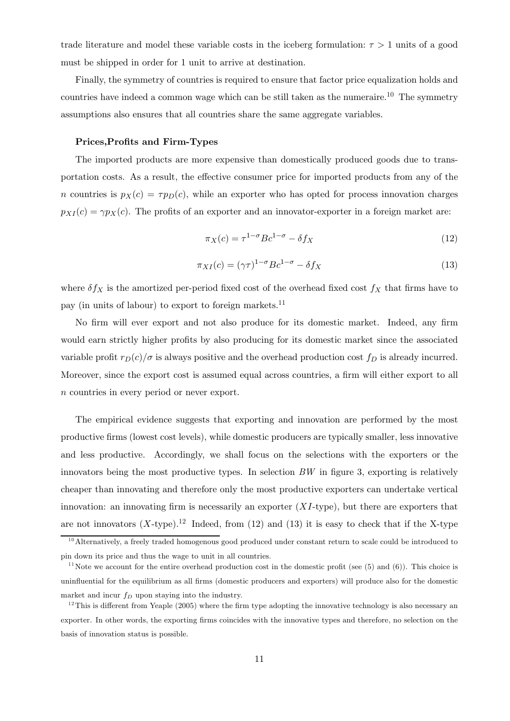trade literature and model these variable costs in the iceberg formulation:  $\tau > 1$  units of a good must be shipped in order for 1 unit to arrive at destination.

Finally, the symmetry of countries is required to ensure that factor price equalization holds and countries have indeed a common wage which can be still taken as the numeraire.<sup>10</sup> The symmetry assumptions also ensures that all countries share the same aggregate variables.

#### Prices,Profits and Firm-Types

The imported products are more expensive than domestically produced goods due to transportation costs. As a result, the effective consumer price for imported products from any of the n countries is  $p_X(c) = \tau p_D(c)$ , while an exporter who has opted for process innovation charges  $p_{XI}(c) = \gamma p_X(c)$ . The profits of an exporter and an innovator-exporter in a foreign market are:

$$
\pi_X(c) = \tau^{1-\sigma} B c^{1-\sigma} - \delta f_X \tag{12}
$$

$$
\pi_{XI}(c) = (\gamma \tau)^{1-\sigma} B c^{1-\sigma} - \delta f_X \tag{13}
$$

where  $\delta f_X$  is the amortized per-period fixed cost of the overhead fixed cost  $f_X$  that firms have to pay (in units of labour) to export to foreign markets.<sup>11</sup>

No firm will ever export and not also produce for its domestic market. Indeed, any firm would earn strictly higher profits by also producing for its domestic market since the associated variable profit  $r_D(c)/\sigma$  is always positive and the overhead production cost  $f_D$  is already incurred. Moreover, since the export cost is assumed equal across countries, a firm will either export to all n countries in every period or never export.

The empirical evidence suggests that exporting and innovation are performed by the most productive firms (lowest cost levels), while domestic producers are typically smaller, less innovative and less productive. Accordingly, we shall focus on the selections with the exporters or the innovators being the most productive types. In selection  $BW$  in figure 3, exporting is relatively cheaper than innovating and therefore only the most productive exporters can undertake vertical innovation: an innovating firm is necessarily an exporter  $(XI\text{-type})$ , but there are exporters that are not innovators  $(X$ -type).<sup>12</sup> Indeed, from (12) and (13) it is easy to check that if the X-type

<sup>&</sup>lt;sup>10</sup>Alternatively, a freely traded homogenous good produced under constant return to scale could be introduced to pin down its price and thus the wage to unit in all countries.

<sup>&</sup>lt;sup>11</sup>Note we account for the entire overhead production cost in the domestic profit (see  $(5)$  and  $(6)$ ). This choice is uninfluential for the equilibrium as all firms (domestic producers and exporters) will produce also for the domestic market and incur  $f_D$  upon staying into the industry.

 $12$ This is different from Yeaple (2005) where the firm type adopting the innovative technology is also necessary an exporter. In other words, the exporting firms coincides with the innovative types and therefore, no selection on the basis of innovation status is possible.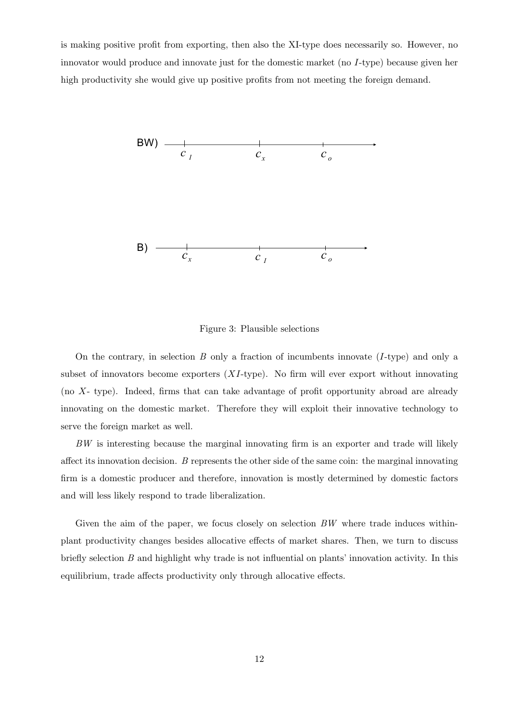is making positive profit from exporting, then also the XI-type does necessarily so. However, no innovator would produce and innovate just for the domestic market (no I-type) because given her high productivity she would give up positive profits from not meeting the foreign demand.



Figure 3: Plausible selections

On the contrary, in selection B only a fraction of incumbents innovate  $(I\text{-type})$  and only a subset of innovators become exporters  $(XI$ -type). No firm will ever export without innovating (no  $X$ - type). Indeed, firms that can take advantage of profit opportunity abroad are already innovating on the domestic market. Therefore they will exploit their innovative technology to serve the foreign market as well.

BW is interesting because the marginal innovating firm is an exporter and trade will likely affect its innovation decision.  $B$  represents the other side of the same coin: the marginal innovating firm is a domestic producer and therefore, innovation is mostly determined by domestic factors and will less likely respond to trade liberalization.

Given the aim of the paper, we focus closely on selection  $BW$  where trade induces withinplant productivity changes besides allocative effects of market shares. Then, we turn to discuss briefly selection  $B$  and highlight why trade is not influential on plants' innovation activity. In this equilibrium, trade affects productivity only through allocative effects.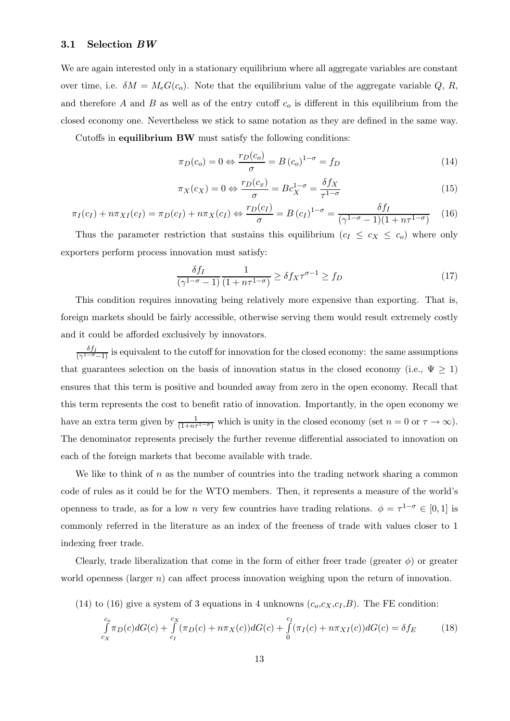#### 3.1 Selection BW

We are again interested only in a stationary equilibrium where all aggregate variables are constant over time, i.e.  $\delta M = M_eG(c_o)$ . Note that the equilibrium value of the aggregate variable Q, R, and therefore A and B as well as of the entry cutoff  $c<sub>o</sub>$  is different in this equilibrium from the closed economy one. Nevertheless we stick to same notation as they are defined in the same way.

Cutoffs in equilibrium BW must satisfy the following conditions:

$$
\pi_D(c_o) = 0 \Leftrightarrow \frac{r_D(c_o)}{\sigma} = B(c_o)^{1-\sigma} = f_D \tag{14}
$$

$$
\pi_X(c_X) = 0 \Leftrightarrow \frac{r_D(c_x)}{\sigma} = Bc_X^{1-\sigma} = \frac{\delta f_X}{\tau^{1-\sigma}}
$$
\n(15)

$$
\pi_I(c_I) + n\pi_{XI}(c_I) = \pi_D(c_I) + n\pi_X(c_I) \Leftrightarrow \frac{r_D(c_I)}{\sigma} = B(c_I)^{1-\sigma} = \frac{\delta f_I}{(\gamma^{1-\sigma} - 1)(1 + n\tau^{1-\sigma})} \tag{16}
$$

Thus the parameter restriction that sustains this equilibrium  $(c_I \leq c_X \leq c_0)$  where only exporters perform process innovation must satisfy:

$$
\frac{\delta f_I}{\left(\gamma^{1-\sigma}-1\right)}\frac{1}{\left(1+n\tau^{1-\sigma}\right)} \ge \delta f_X \tau^{\sigma-1} \ge f_D \tag{17}
$$

This condition requires innovating being relatively more expensive than exporting. That is, foreign markets should be fairly accessible, otherwise serving them would result extremely costly and it could be afforded exclusively by innovators.

 $\frac{\delta f_I}{(\gamma^{1-\sigma}-1)}$  is equivalent to the cutoff for innovation for the closed economy: the same assumptions that guarantees selection on the basis of innovation status in the closed economy (i.e.,  $\Psi \geq 1$ ) ensures that this term is positive and bounded away from zero in the open economy. Recall that this term represents the cost to benefit ratio of innovation. Importantly, in the open economy we have an extra term given by  $\frac{1}{(1+n\tau^{1-\sigma})}$  which is unity in the closed economy (set  $n=0$  or  $\tau \to \infty$ ). The denominator represents precisely the further revenue differential associated to innovation on each of the foreign markets that become available with trade.

We like to think of  $n$  as the number of countries into the trading network sharing a common code of rules as it could be for the WTO members. Then, it represents a measure of the world's openness to trade, as for a low n very few countries have trading relations.  $\phi = \tau^{1-\sigma} \in [0,1]$  is commonly referred in the literature as an index of the freeness of trade with values closer to 1 indexing freer trade.

Clearly, trade liberalization that come in the form of either freer trade (greater  $\phi$ ) or greater world openness (larger  $n$ ) can affect process innovation weighing upon the return of innovation.

(14) to (16) give a system of 3 equations in 4 unknowns  $(c_o, c_X, c_I, B)$ . The FE condition:

$$
\int_{c_X}^{c_o} \pi_D(c) dG(c) + \int_{c_I}^{c_X} (\pi_D(c) + n\pi_X(c)) dG(c) + \int_{0}^{c_I} (\pi_I(c) + n\pi_{XI}(c)) dG(c) = \delta f_E
$$
\n(18)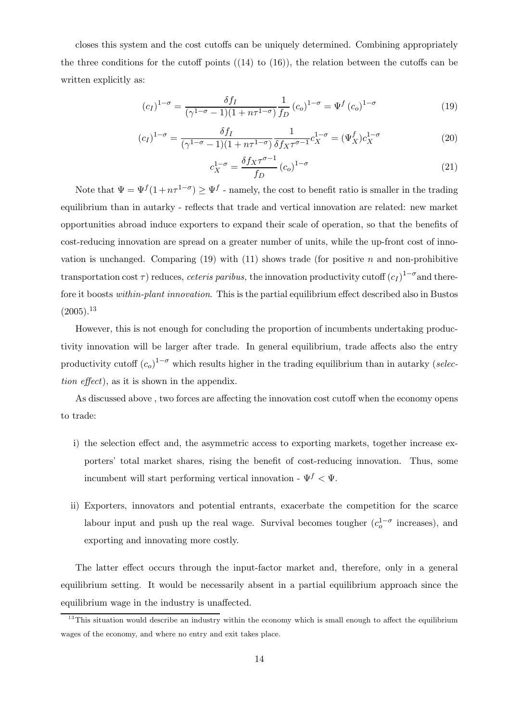closes this system and the cost cutoffs can be uniquely determined. Combining appropriately the three conditions for the cutoff points  $((14)$  to  $(16)$ ), the relation between the cutoffs can be written explicitly as:

$$
(c_I)^{1-\sigma} = \frac{\delta f_I}{(\gamma^{1-\sigma} - 1)(1 + n\tau^{1-\sigma})} \frac{1}{f_D} (c_o)^{1-\sigma} = \Psi^f (c_o)^{1-\sigma}
$$
 (19)

$$
(c_I)^{1-\sigma} = \frac{\delta f_I}{(\gamma^{1-\sigma} - 1)(1 + n\tau^{1-\sigma})} \frac{1}{\delta f_X \tau^{\sigma-1}} c_X^{1-\sigma} = (\Psi_X^f) c_X^{1-\sigma}
$$
(20)

$$
c_X^{1-\sigma} = \frac{\delta f_X \tau^{\sigma-1}}{f_D} \left( c_o \right)^{1-\sigma} \tag{21}
$$

Note that  $\Psi = \Psi^f (1 + n\tau^{1-\sigma}) \geq \Psi^f$  - namely, the cost to benefit ratio is smaller in the trading equilibrium than in autarky - reflects that trade and vertical innovation are related: new market opportunities abroad induce exporters to expand their scale of operation, so that the benefits of cost-reducing innovation are spread on a greater number of units, while the up-front cost of innovation is unchanged. Comparing  $(19)$  with  $(11)$  shows trade (for positive  $n$  and non-prohibitive transportation cost  $\tau$ ) reduces, *ceteris paribus*, the innovation productivity cutoff  $(c_I)^{1-\sigma}$  and therefore it boosts within-plant innovation. This is the partial equilibrium effect described also in Bustos  $(2005).^{13}$ 

However, this is not enough for concluding the proportion of incumbents undertaking productivity innovation will be larger after trade. In general equilibrium, trade affects also the entry productivity cutoff  $(c_o)^{1-\sigma}$  which results higher in the trading equilibrium than in autarky (selection  $effect$ ), as it is shown in the appendix.

As discussed above, two forces are affecting the innovation cost cutoff when the economy opens to trade:

- i) the selection effect and, the asymmetric access to exporting markets, together increase exporters' total market shares, rising the benefit of cost-reducing innovation. Thus, some incumbent will start performing vertical innovation -  $\Psi^f$  <  $\Psi$ .
- ii) Exporters, innovators and potential entrants, exacerbate the competition for the scarce labour input and push up the real wage. Survival becomes tougher  $(c_0^{1-\sigma}$  increases), and exporting and innovating more costly.

The latter effect occurs through the input-factor market and, therefore, only in a general equilibrium setting. It would be necessarily absent in a partial equilibrium approach since the equilibrium wage in the industry is unaffected.

 $13$ This situation would describe an industry within the economy which is small enough to affect the equilibrium wages of the economy, and where no entry and exit takes place.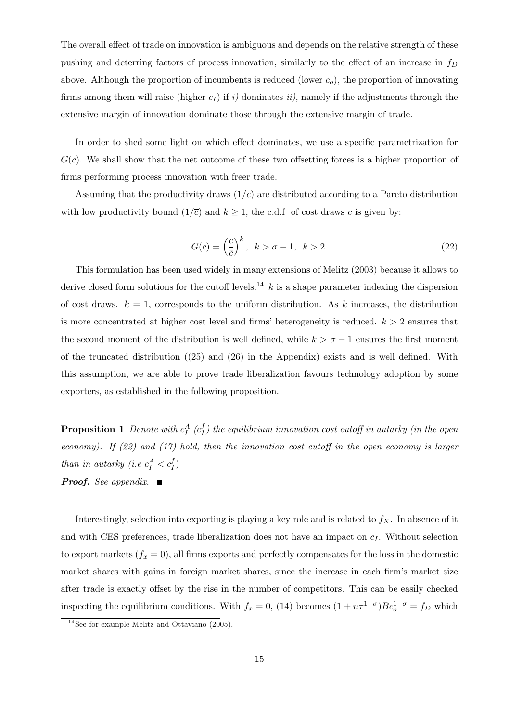The overall effect of trade on innovation is ambiguous and depends on the relative strength of these pushing and deterring factors of process innovation, similarly to the effect of an increase in  $f_D$ above. Although the proportion of incumbents is reduced (lower  $c<sub>o</sub>$ ), the proportion of innovating firms among them will raise (higher  $c_I$ ) if i) dominates ii), namely if the adjustments through the extensive margin of innovation dominate those through the extensive margin of trade.

In order to shed some light on which effect dominates, we use a specific parametrization for  $G(c)$ . We shall show that the net outcome of these two offsetting forces is a higher proportion of firms performing process innovation with freer trade.

Assuming that the productivity draws  $(1/c)$  are distributed according to a Pareto distribution with low productivity bound  $(1/\overline{c})$  and  $k \ge 1$ , the c.d.f of cost draws c is given by:

$$
G(c) = \left(\frac{c}{\bar{c}}\right)^k, \quad k > \sigma - 1, \quad k > 2.
$$
\n
$$
(22)
$$

This formulation has been used widely in many extensions of Melitz (2003) because it allows to derive closed form solutions for the cutoff levels.<sup>14</sup>  $k$  is a shape parameter indexing the dispersion of cost draws.  $k = 1$ , corresponds to the uniform distribution. As k increases, the distribution is more concentrated at higher cost level and firms' heterogeneity is reduced.  $k > 2$  ensures that the second moment of the distribution is well defined, while  $k > \sigma - 1$  ensures the first moment of the truncated distribution ((25) and (26) in the Appendix) exists and is well defined. With this assumption, we are able to prove trade liberalization favours technology adoption by some exporters, as established in the following proposition.

**Proposition 1** Denote with  $c_I^A$  ( $c_I^f$ ) the equilibrium innovation cost cutoff in autarky (in the open economy). If  $(22)$  and  $(17)$  hold, then the innovation cost cutoff in the open economy is larger than in autarky (i.e  $c_I^A < c_I^f$ ) **Proof.** See appendix.  $\blacksquare$ 

Interestingly, selection into exporting is playing a key role and is related to  $f_X$ . In absence of it and with CES preferences, trade liberalization does not have an impact on  $c<sub>I</sub>$ . Without selection to export markets  $(f_x = 0)$ , all firms exports and perfectly compensates for the loss in the domestic market shares with gains in foreign market shares, since the increase in each firm's market size after trade is exactly offset by the rise in the number of competitors. This can be easily checked inspecting the equilibrium conditions. With  $f_x = 0$ , (14) becomes  $(1 + n\tau^{1-\sigma})Bc_o^{1-\sigma} = f_D$  which

<sup>&</sup>lt;sup>14</sup> See for example Melitz and Ottaviano  $(2005)$ .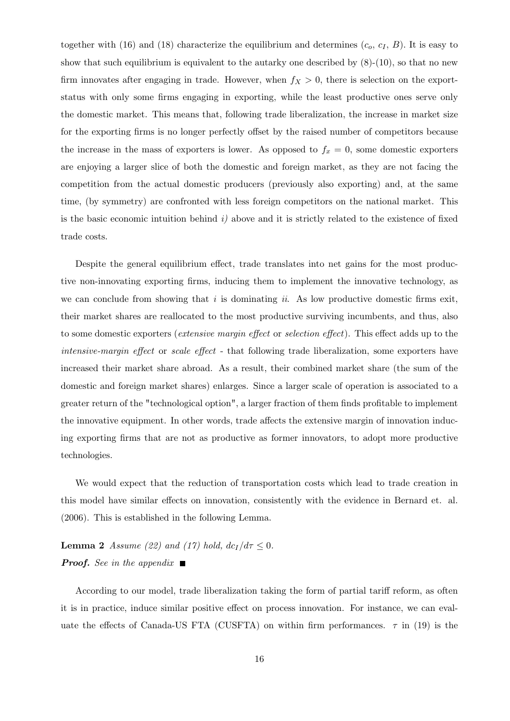together with (16) and (18) characterize the equilibrium and determines  $(c_o, c_I, B)$ . It is easy to show that such equilibrium is equivalent to the autarky one described by  $(8)-(10)$ , so that no new firm innovates after engaging in trade. However, when  $f_X > 0$ , there is selection on the exportstatus with only some firms engaging in exporting, while the least productive ones serve only the domestic market. This means that, following trade liberalization, the increase in market size for the exporting firms is no longer perfectly offset by the raised number of competitors because the increase in the mass of exporters is lower. As opposed to  $f_x = 0$ , some domestic exporters are enjoying a larger slice of both the domestic and foreign market, as they are not facing the competition from the actual domestic producers (previously also exporting) and, at the same time, (by symmetry) are confronted with less foreign competitors on the national market. This is the basic economic intuition behind  $i$ ) above and it is strictly related to the existence of fixed trade costs.

Despite the general equilibrium effect, trade translates into net gains for the most productive non-innovating exporting firms, inducing them to implement the innovative technology, as we can conclude from showing that i is dominating ii. As low productive domestic firms exit, their market shares are reallocated to the most productive surviving incumbents, and thus, also to some domestic exporters (*extensive margin effect* or *selection effect*). This effect adds up to the intensive-margin effect or scale effect - that following trade liberalization, some exporters have increased their market share abroad. As a result, their combined market share (the sum of the domestic and foreign market shares) enlarges. Since a larger scale of operation is associated to a greater return of the "technological option", a larger fraction of them finds profitable to implement the innovative equipment. In other words, trade affects the extensive margin of innovation inducing exporting firms that are not as productive as former innovators, to adopt more productive technologies.

We would expect that the reduction of transportation costs which lead to trade creation in this model have similar effects on innovation, consistently with the evidence in Bernard et. al. (2006). This is established in the following Lemma.

**Lemma 2** Assume (22) and (17) hold,  $dc_I/d\tau \leq 0$ . **Proof.** See in the appendix  $\blacksquare$ 

According to our model, trade liberalization taking the form of partial tariff reform, as often it is in practice, induce similar positive effect on process innovation. For instance, we can evaluate the effects of Canada-US FTA (CUSFTA) on within firm performances.  $\tau$  in (19) is the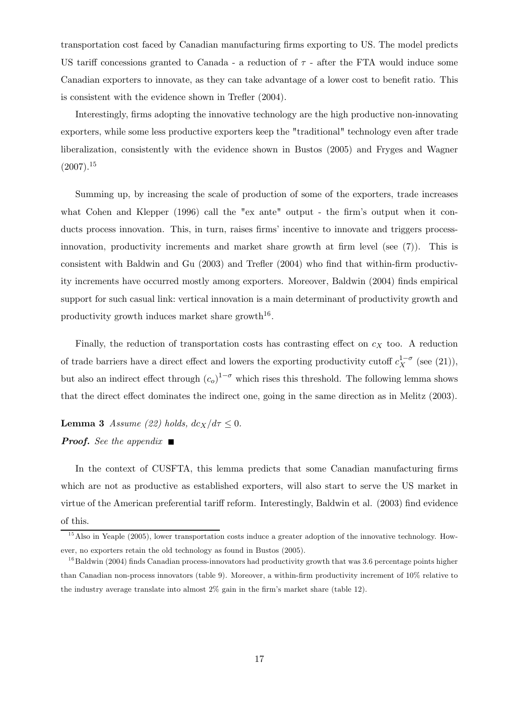transportation cost faced by Canadian manufacturing firms exporting to US. The model predicts US tariff concessions granted to Canada - a reduction of  $\tau$  - after the FTA would induce some Canadian exporters to innovate, as they can take advantage of a lower cost to benefit ratio. This is consistent with the evidence shown in Trefler (2004).

Interestingly, firms adopting the innovative technology are the high productive non-innovating exporters, while some less productive exporters keep the "traditional" technology even after trade liberalization, consistently with the evidence shown in Bustos (2005) and Fryges and Wagner  $(2007).^{15}$ 

Summing up, by increasing the scale of production of some of the exporters, trade increases what Cohen and Klepper (1996) call the "ex ante" output - the firm's output when it conducts process innovation. This, in turn, raises firms' incentive to innovate and triggers processinnovation, productivity increments and market share growth at firm level (see (7)). This is consistent with Baldwin and Gu (2003) and Trefler (2004) who find that within-firm productivity increments have occurred mostly among exporters. Moreover, Baldwin (2004) finds empirical support for such casual link: vertical innovation is a main determinant of productivity growth and productivity growth induces market share growth<sup>16</sup>.

Finally, the reduction of transportation costs has contrasting effect on  $c<sub>X</sub>$  too. A reduction of trade barriers have a direct effect and lowers the exporting productivity cutoff  $c_X^{1-\sigma}$  (see (21)), but also an indirect effect through  $(c_o)^{1-\sigma}$  which rises this threshold. The following lemma shows that the direct effect dominates the indirect one, going in the same direction as in Melitz (2003).

**Lemma 3** Assume (22) holds,  $dc_X/d\tau \leq 0$ . **Proof.** See the appendix  $\blacksquare$ 

In the context of CUSFTA, this lemma predicts that some Canadian manufacturing firms which are not as productive as established exporters, will also start to serve the US market in virtue of the American preferential tariff reform. Interestingly, Baldwin et al. (2003) find evidence of this.

 $15$  Also in Yeaple (2005), lower transportation costs induce a greater adoption of the innovative technology. However, no exporters retain the old technology as found in Bustos (2005).

 $16$ Baldwin (2004) finds Canadian process-innovators had productivity growth that was 3.6 percentage points higher than Canadian non-process innovators (table 9). Moreover, a within-firm productivity increment of 10% relative to the industry average translate into almost 2% gain in the firm's market share (table 12).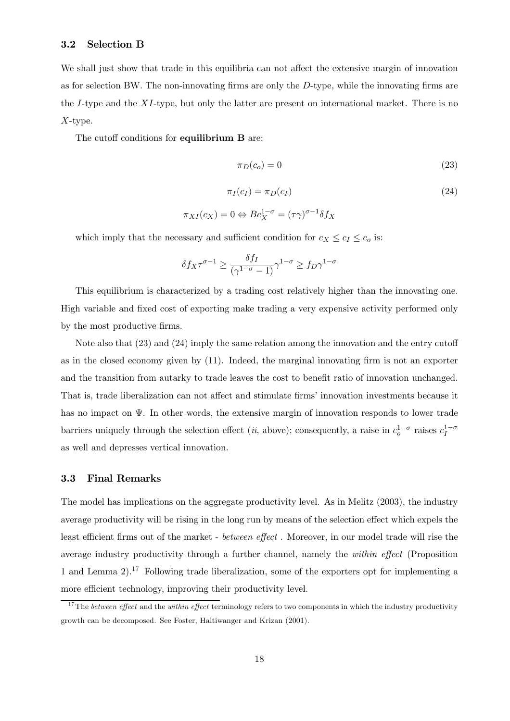#### 3.2 Selection B

We shall just show that trade in this equilibria can not affect the extensive margin of innovation as for selection BW. The non-innovating firms are only the G-type, while the innovating firms are the  $I$ -type and the  $XI$ -type, but only the latter are present on international market. There is no  $X$ -type.

The cutoff conditions for equilibrium B are:

$$
\pi_D(c_o) = 0\tag{23}
$$

$$
\pi_I(c_I) = \pi_D(c_I)
$$
\n
$$
\pi_{XI}(c_X) = 0 \Leftrightarrow Be_X^{1-\sigma} = (\tau \gamma)^{\sigma-1} \delta f_X
$$
\n(24)

which imply that the necessary and sufficient condition for  $c_X \leq c_I \leq c_o$  is:

$$
\delta f_X \tau^{\sigma - 1} \ge \frac{\delta f_I}{(\gamma^{1 - \sigma} - 1)} \gamma^{1 - \sigma} \ge f_D \gamma^{1 - \sigma}
$$

This equilibrium is characterized by a trading cost relatively higher than the innovating one. High variable and fixed cost of exporting make trading a very expensive activity performed only by the most productive firms.

Note also that  $(23)$  and  $(24)$  imply the same relation among the innovation and the entry cutoff as in the closed economy given by (11). Indeed, the marginal innovating firm is not an exporter and the transition from autarky to trade leaves the cost to benefit ratio of innovation unchanged. That is, trade liberalization can not affect and stimulate firms' innovation investments because it has no impact on  $\Psi$ . In other words, the extensive margin of innovation responds to lower trade barriers uniquely through the selection effect (*ii*, above); consequently, a raise in  $c_0^{1-\sigma}$  raises  $c_I^{1-\sigma}$ as well and depresses vertical innovation.

#### 3.3 Final Remarks

The model has implications on the aggregate productivity level. As in Melitz (2003), the industry average productivity will be rising in the long run by means of the selection effect which expels the least efficient firms out of the market - between effect. Moreover, in our model trade will rise the average industry productivity through a further channel, namely the *within effect* (Proposition 1 and Lemma  $2$ ).<sup>17</sup> Following trade liberalization, some of the exporters opt for implementing a more efficient technology, improving their productivity level.

 $17$ The between effect and the within effect terminology refers to two components in which the industry productivity growth can be decomposed. See Foster, Haltiwanger and Krizan (2001).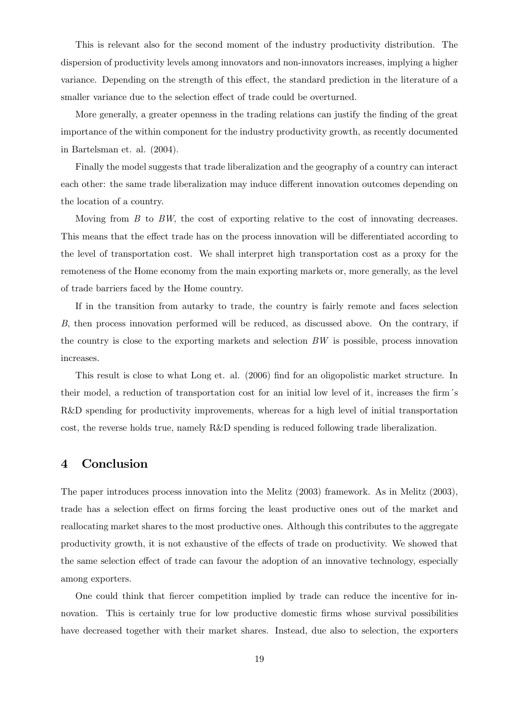This is relevant also for the second moment of the industry productivity distribution. The dispersion of productivity levels among innovators and non-innovators increases, implying a higher variance. Depending on the strength of this effect, the standard prediction in the literature of a smaller variance due to the selection effect of trade could be overturned.

More generally, a greater openness in the trading relations can justify the finding of the great importance of the within component for the industry productivity growth, as recently documented in Bartelsman et. al. (2004).

Finally the model suggests that trade liberalization and the geography of a country can interact each other: the same trade liberalization may induce different innovation outcomes depending on the location of a country.

Moving from  $B$  to  $BW$ , the cost of exporting relative to the cost of innovating decreases. This means that the effect trade has on the process innovation will be differentiated according to the level of transportation cost. We shall interpret high transportation cost as a proxy for the remoteness of the Home economy from the main exporting markets or, more generally, as the level of trade barriers faced by the Home country.

If in the transition from autarky to trade, the country is fairly remote and faces selection B, then process innovation performed will be reduced, as discussed above. On the contrary, if the country is close to the exporting markets and selection  $BW$  is possible, process innovation increases.

This result is close to what Long et. al. (2006) find for an oligopolistic market structure. In their model, a reduction of transportation cost for an initial low level of it, increases the firm´s R&D spending for productivity improvements, whereas for a high level of initial transportation cost, the reverse holds true, namely R&D spending is reduced following trade liberalization.

# 4 Conclusion

The paper introduces process innovation into the Melitz (2003) framework. As in Melitz (2003), trade has a selection effect on firms forcing the least productive ones out of the market and reallocating market shares to the most productive ones. Although this contributes to the aggregate productivity growth, it is not exhaustive of the effects of trade on productivity. We showed that the same selection effect of trade can favour the adoption of an innovative technology, especially among exporters.

One could think that fiercer competition implied by trade can reduce the incentive for innovation. This is certainly true for low productive domestic firms whose survival possibilities have decreased together with their market shares. Instead, due also to selection, the exporters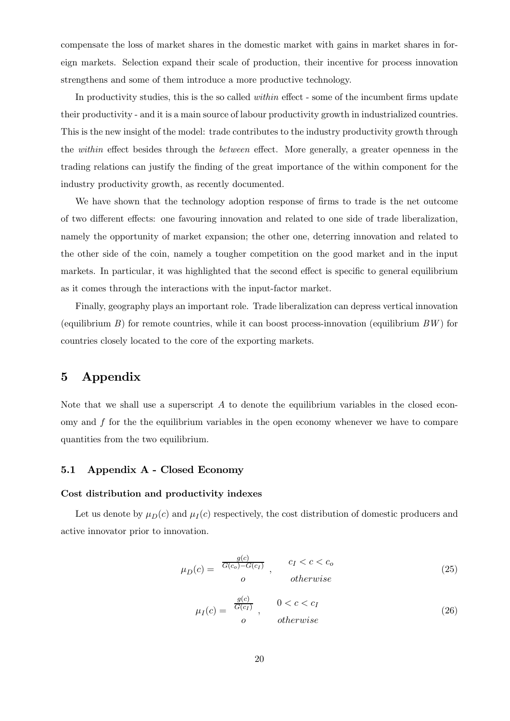compensate the loss of market shares in the domestic market with gains in market shares in foreign markets. Selection expand their scale of production, their incentive for process innovation strengthens and some of them introduce a more productive technology.

In productivity studies, this is the so called *within* effect - some of the incumbent firms update their productivity - and it is a main source of labour productivity growth in industrialized countries. This is the new insight of the model: trade contributes to the industry productivity growth through the *within* effect besides through the *between* effect. More generally, a greater openness in the trading relations can justify the finding of the great importance of the within component for the industry productivity growth, as recently documented.

We have shown that the technology adoption response of firms to trade is the net outcome of two different effects: one favouring innovation and related to one side of trade liberalization, namely the opportunity of market expansion; the other one, deterring innovation and related to the other side of the coin, namely a tougher competition on the good market and in the input markets. In particular, it was highlighted that the second effect is specific to general equilibrium as it comes through the interactions with the input-factor market.

Finally, geography plays an important role. Trade liberalization can depress vertical innovation (equilibrium  $B$ ) for remote countries, while it can boost process-innovation (equilibrium  $BW$ ) for countries closely located to the core of the exporting markets.

### 5 Appendix

Note that we shall use a superscript  $\tilde{A}$  to denote the equilibrium variables in the closed economy and  $f$  for the the equilibrium variables in the open economy whenever we have to compare quantities from the two equilibrium.

#### 5.1 Appendix A - Closed Economy

#### Cost distribution and productivity indexes

Let us denote by  $\mu_D(c)$  and  $\mu_I(c)$  respectively, the cost distribution of domestic producers and active innovator prior to innovation.

$$
\mu_D(c) = \frac{g(c)}{G(c_o) - G(c_I)}, \qquad c_I < c < c_o
$$
\n
$$
o \qquad \text{otherwise}
$$
\n(25)

$$
\mu_I(c) = \begin{array}{c} \frac{g(c)}{G(c_I)} \\ o \end{array}, \qquad \begin{array}{c} 0 < c < c_I \\ otherwise \end{array} \tag{26}
$$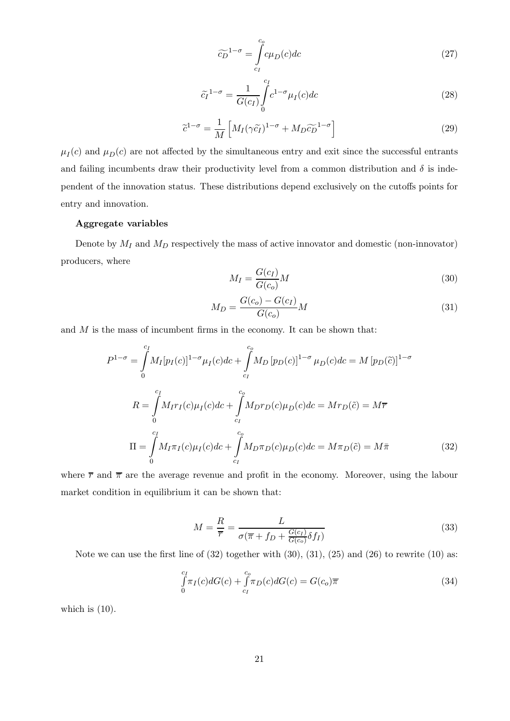$$
\widetilde{c_D}^{1-\sigma} = \int_{c_I}^{c_o} c\mu_D(c) dc \tag{27}
$$

$$
\tilde{c}_I^{-1-\sigma} = \frac{1}{G(c_I)} \int_0^{c_I} c^{1-\sigma} \mu_I(c) dc \tag{28}
$$

$$
\tilde{c}^{1-\sigma} = \frac{1}{M} \left[ M_I (\gamma \tilde{c}_I)^{1-\sigma} + M_D \tilde{c}_D^{-1-\sigma} \right]
$$
\n(29)

 $\mu_I(c)$  and  $\mu_D(c)$  are not affected by the simultaneous entry and exit since the successful entrants and failing incumbents draw their productivity level from a common distribution and  $\delta$  is independent of the innovation status. These distributions depend exclusively on the cutoffs points for entry and innovation.

#### Aggregate variables

Denote by  $M_I$  and  $M_D$  respectively the mass of active innovator and domestic (non-innovator) producers, where

$$
M_I = \frac{G(c_I)}{G(c_o)}M\tag{30}
$$

$$
M_D = \frac{G(c_o) - G(c_I)}{G(c_o)} M
$$
\n(31)

and  $M$  is the mass of incumbent firms in the economy. It can be shown that:

$$
P^{1-\sigma} = \int_{0}^{c_I} M_I[p_I(c)]^{1-\sigma} \mu_I(c)dc + \int_{c_I}^{c_\rho} M_D[p_D(c)]^{1-\sigma} \mu_D(c)dc = M[p_D(\tilde{c})]^{1-\sigma}
$$
  
\n
$$
R = \int_{0}^{c_I} M_I r_I(c) \mu_I(c)dc + \int_{c_I}^{c_\rho} M_D r_D(c) \mu_D(c)dc = Mr_D(\tilde{c}) = M\overline{r}
$$
  
\n
$$
\Pi = \int_{0}^{c_I} M_I \pi_I(c) \mu_I(c)dc + \int_{c_I}^{c_\rho} M_D \pi_D(c) \mu_D(c)dc = M\pi_D(\tilde{c}) = M\overline{\pi}
$$
(32)

where  $\bar{r}$  and  $\bar{\pi}$  are the average revenue and profit in the economy. Moreover, using the labour market condition in equilibrium it can be shown that:

$$
M = \frac{R}{\overline{r}} = \frac{L}{\sigma(\overline{\pi} + f_D + \frac{G(c_I)}{G(c_o)} \delta f_I)}
$$
(33)

Note we can use the first line of  $(32)$  together with  $(30)$ ,  $(31)$ ,  $(25)$  and  $(26)$  to rewrite  $(10)$  as:

$$
\int_{0}^{c_I} \pi_I(c) dG(c) + \int_{c_I}^{c_o} \pi_D(c) dG(c) = G(c_o) \overline{\pi}
$$
\n(34)

which is  $(10)$ .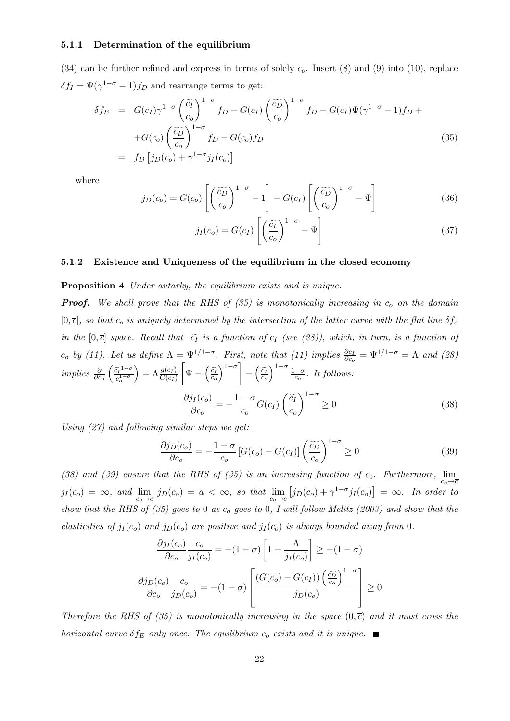#### 5.1.1 Determination of the equilibrium

(34) can be further refined and express in terms of solely  $c<sub>o</sub>$ . Insert (8) and (9) into (10), replace  $\delta f_I = \Psi(\gamma^{1-\sigma} - 1)f_D$  and rearrange terms to get:

$$
\delta f_E = G(c_I) \gamma^{1-\sigma} \left(\frac{\tilde{c}_I}{c_o}\right)^{1-\sigma} f_D - G(c_I) \left(\frac{\tilde{c}_D}{c_o}\right)^{1-\sigma} f_D - G(c_I) \Psi(\gamma^{1-\sigma} - 1) f_D +
$$
  
+
$$
+ G(c_o) \left(\frac{\tilde{c}_D}{c_o}\right)^{1-\sigma} f_D - G(c_o) f_D
$$
  
= 
$$
f_D \left[j_D(c_o) + \gamma^{1-\sigma} j_I(c_o)\right]
$$
(35)

where

$$
j_D(c_o) = G(c_o) \left[ \left( \frac{\widetilde{c_D}}{c_o} \right)^{1-\sigma} - 1 \right] - G(c_I) \left[ \left( \frac{\widetilde{c_D}}{c_o} \right)^{1-\sigma} - \Psi \right]
$$
(36)

$$
j_I(c_o) = G(c_I) \left[ \left( \frac{\tilde{c}_I}{c_o} \right)^{1-\sigma} - \Psi \right]
$$
 (37)

#### 5.1.2 Existence and Uniqueness of the equilibrium in the closed economy

#### Proposition 4 Under autarky, the equilibrium exists and is unique.

**Proof.** We shall prove that the RHS of  $(35)$  is monotonically increasing in  $c<sub>o</sub>$  on the domain  $[0,\overline{c}]$ , so that  $c_o$  is uniquely determined by the intersection of the latter curve with the flat line  $\delta f_e$ in the  $[0,\overline{c}]$  space. Recall that  $\widetilde{c}_I$  is a function of  $c_I$  (see (28)), which, in turn, is a function of  $c_o$  by (11). Let us define  $\Lambda = \Psi^{1/1-\sigma}$ . First, note that (11) implies  $\frac{\partial c_I}{\partial c_o} = \Psi^{1/1-\sigma} = \Lambda$  and (28) implies  $\frac{\partial}{\partial c_o} \left( \frac{\tilde{c_I}^{1-\sigma}}{c_o^{1-\sigma}} \right)$  $\left(\frac{\widetilde{c}_I^{(1-\sigma)}}{c_o^{1-\sigma}}\right) = \Lambda \frac{g(c_I)}{G(c_I)}$  $\sqrt{ }$  $\Psi - \left(\frac{\tilde{c}_I}{c_o}\right)^{1-\sigma} - \left(\frac{\tilde{c}_I}{c_o}\right)^{1-\sigma} \frac{1-\sigma}{c_o}$ . It follows:

$$
\frac{\partial j_I(c_o)}{\partial c_o} = -\frac{1-\sigma}{c_o} G(c_I) \left(\frac{\tilde{c}_I}{c_o}\right)^{1-\sigma} \ge 0
$$
\n(38)

Using (27) and following similar steps we get:

$$
\frac{\partial j_D(c_o)}{\partial c_o} = -\frac{1-\sigma}{c_o} \left[ G(c_o) - G(c_I) \right] \left( \frac{\widetilde{c_D}}{c_o} \right)^{1-\sigma} \ge 0 \tag{39}
$$

(38) and (39) ensure that the RHS of (35) is an increasing function of  $c_o$ . Furthermore,  $\lim_{c_o \to \overline{c}}$  $j_I(c_o) = \infty$ , and  $\lim_{c_o \to \overline{c}} j_D(c_o) = a < \infty$ , so that  $\lim_{c_o \to \overline{c}} [j_D(c_o) + \gamma^{1-\sigma} j_I(c_o)] = \infty$ . In order to show that the RHS of  $(35)$  goes to 0 as  $c<sub>o</sub>$  goes to 0, I will follow Melitz (2003) and show that the elasticities of  $j_I(c_o)$  and  $j_D(c_o)$  are positive and  $j_I(c_o)$  is always bounded away from 0.

$$
\frac{\partial j_I(c_o)}{\partial c_o} \frac{c_o}{j_I(c_o)} = -(1 - \sigma) \left[ 1 + \frac{\Lambda}{j_I(c_o)} \right] \ge -(1 - \sigma)
$$

$$
\frac{\partial j_D(c_o)}{\partial c_o} \frac{c_o}{j_D(c_o)} = -(1 - \sigma) \left[ \frac{(G(c_o) - G(c_I)) \left(\frac{\widetilde{c_D}}{c_o}\right)^{1 - \sigma}}{j_D(c_o)} \right] \ge 0
$$

Therefore the RHS of (35) is monotonically increasing in the space  $(0,\bar{c})$  and it must cross the horizontal curve  $\delta f_E$  only once. The equilibrium  $c_o$  exists and it is unique.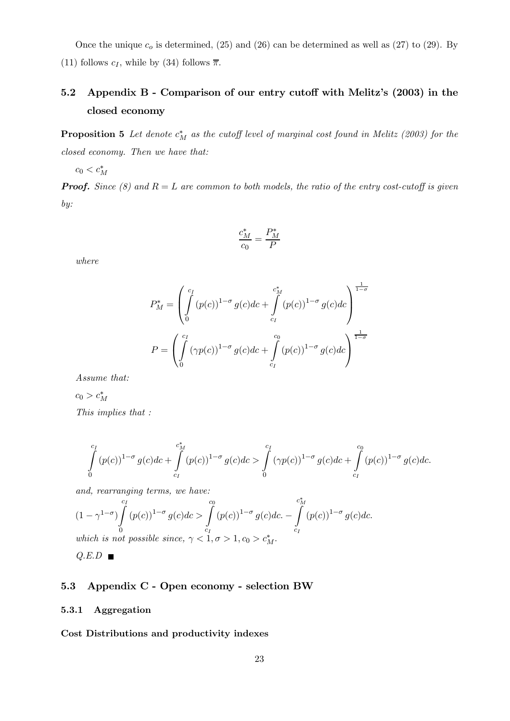Once the unique  $c<sub>o</sub>$  is determined, (25) and (26) can be determined as well as (27) to (29). By (11) follows  $c_I$ , while by (34) follows  $\overline{\pi}$ .

# 5.2 Appendix B - Comparison of our entry cutoff with Melitz's (2003) in the closed economy

**Proposition 5** Let denote  $c_M^*$  as the cutoff level of marginal cost found in Melitz (2003) for the closed economy. Then we have that:

 $c_0 < c_M^*$ 

**Proof.** Since (8) and  $R = L$  are common to both models, the ratio of the entry cost-cutoff is given by:

$$
\frac{c_M^*}{c_0} = \frac{P_M^*}{P}
$$

where

$$
P_M^* = \left( \int_0^{c_I} (p(c))^{1-\sigma} g(c)dc + \int_{c_I}^{c_M^*} (p(c))^{1-\sigma} g(c)dc \right)^{\frac{1}{1-\sigma}}
$$

$$
P = \left( \int_0^{c_I} (\gamma p(c))^{1-\sigma} g(c)dc + \int_{c_I}^{c_I} (p(c))^{1-\sigma} g(c)dc \right)^{\frac{1}{1-\sigma}}
$$

Assume that:

$$
c_0 > c_M^*
$$
  
This implies that :

$$
\int_{0}^{c_I} (p(c))^{1-\sigma} g(c)dc + \int_{c_I}^{c_M^*} (p(c))^{1-\sigma} g(c)dc > \int_{0}^{c_I} (\gamma p(c))^{1-\sigma} g(c)dc + \int_{c_I}^{c_0} (p(c))^{1-\sigma} g(c)dc.
$$

and, rearranging terms, we have:

$$
(1 - \gamma^{1-\sigma}) \int_{0}^{c_I} (p(c))^{1-\sigma} g(c) dc > \int_{c_I}^{c_0} (p(c))^{1-\sigma} g(c) dc. - \int_{c_I}^{c_M^*} (p(c))^{1-\sigma} g(c) dc.
$$
  
which is not possible since,  $\gamma < 1, \sigma > 1, c_0 > c_M^*.$ 

 $Q.E.D \blacksquare$ 

### 5.3 Appendix C - Open economy - selection BW

#### 5.3.1 Aggregation

Cost Distributions and productivity indexes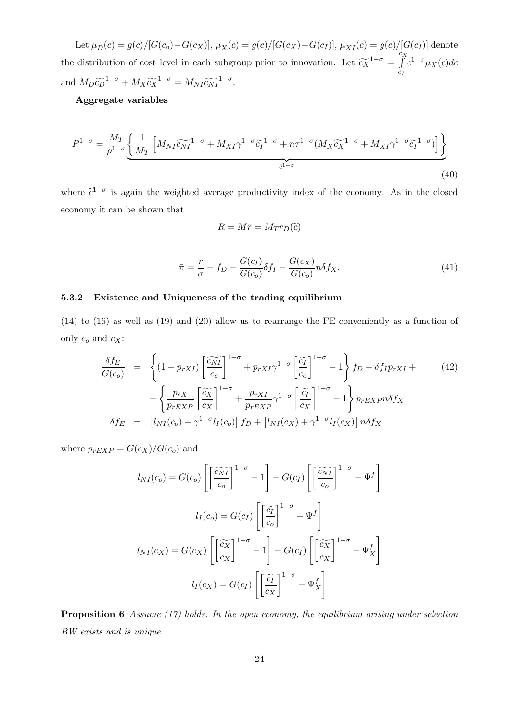Let  $\mu_D(c) = g(c)/[G(c_o)-G(c_X)], \mu_X(c) = g(c)/[G(c_X)-G(c_I)], \mu_{XI}(c) = g(c)/[G(c_I)]$  denote the distribution of cost level in each subgroup prior to innovation. Let  $\widetilde{c_{X}}^{1-\sigma} = \int_{c_I}^{c_X}$  $c_I$  $c^{1-\sigma}\mu_X(c)dc$ and  $M_D \widetilde{\epsilon_D}^{1-\sigma} + M_X \widetilde{\epsilon_X}^{1-\sigma} = M_{NI} \widetilde{\epsilon_{NI}}^{1-\sigma}.$ 

### Aggregate variables

$$
P^{1-\sigma} = \frac{M_T}{\rho^{1-\sigma}} \underbrace{\left\{ \frac{1}{M_T} \left[ M_{NI} \widetilde{c_{NI}}^{1-\sigma} + M_{XI} \gamma^{1-\sigma} \widetilde{c_I}^{1-\sigma} + n\tau^{1-\sigma} (M_X \widetilde{c_X}^{1-\sigma} + M_{XI} \gamma^{1-\sigma} \widetilde{c_I}^{1-\sigma}) \right] \right\}}_{\widetilde{c}^{1-\sigma}}
$$
\n
$$
(40)
$$

where  $\tilde{c}^{1-\sigma}$  is again the weighted average productivity index of the economy. As in the closed economy it can be shown that

$$
R = M\bar{r} = M_T r_D(\tilde{c})
$$

$$
\bar{\pi} = \frac{\overline{r}}{\sigma} - f_D - \frac{G(c_I)}{G(c_o)} \delta f_I - \frac{G(c_X)}{G(c_o)} n \delta f_X.
$$
\n(41)

#### 5.3.2 Existence and Uniqueness of the trading equilibrium

(14) to (16) as well as (19) and (20) allow us to rearrange the FE conveniently as a function of only  $c_o$  and  $c_X$ :

$$
\frac{\delta f_E}{G(c_o)} = \left\{ (1 - p_{rXI}) \left[ \frac{\widetilde{c_N I}}{c_o} \right]^{1 - \sigma} + p_{rXI} \gamma^{1 - \sigma} \left[ \frac{\widetilde{c_I}}{c_o} \right]^{1 - \sigma} - 1 \right\} f_D - \delta f_I p_{rXI} + (42) \n+ \left\{ \frac{p_{rX}}{p_{rEXP}} \left[ \frac{\widetilde{c_X}}{c_X} \right]^{1 - \sigma} + \frac{p_{rXI}}{p_{rEXP}} \gamma^{1 - \sigma} \left[ \frac{\widetilde{c_I}}{c_X} \right]^{1 - \sigma} - 1 \right\} p_{rEXP} \delta f_X \n\delta f_E = \left[ l_{NI}(c_o) + \gamma^{1 - \sigma} l_I(c_o) \right] f_D + \left[ l_{NI}(c_X) + \gamma^{1 - \sigma} l_I(c_X) \right] n \delta f_X
$$
\n(42)

where  $p_{rEXP} = G(c_X)/G(c_0)$  and

$$
l_{NI}(c_o) = G(c_o) \left[ \left[ \frac{\widetilde{c_{NI}}}{c_o} \right]^{1-\sigma} - 1 \right] - G(c_I) \left[ \left[ \frac{\widetilde{c_{NI}}}{c_o} \right]^{1-\sigma} - \Psi^f \right]
$$

$$
l_I(c_o) = G(c_I) \left[ \left[ \frac{\widetilde{c_I}}{c_o} \right]^{1-\sigma} - \Psi^f \right]
$$

$$
l_{NI}(c_X) = G(c_X) \left[ \left[ \frac{\widetilde{c_X}}{c_X} \right]^{1-\sigma} - 1 \right] - G(c_I) \left[ \left[ \frac{\widetilde{c_X}}{c_X} \right]^{1-\sigma} - \Psi^f_X \right]
$$

$$
l_I(c_X) = G(c_I) \left[ \left[ \frac{\widetilde{c_I}}{c_X} \right]^{1-\sigma} - \Psi^f_X \right]
$$

**Proposition 6** Assume  $(17)$  holds. In the open economy, the equilibrium arising under selection BW exists and is unique.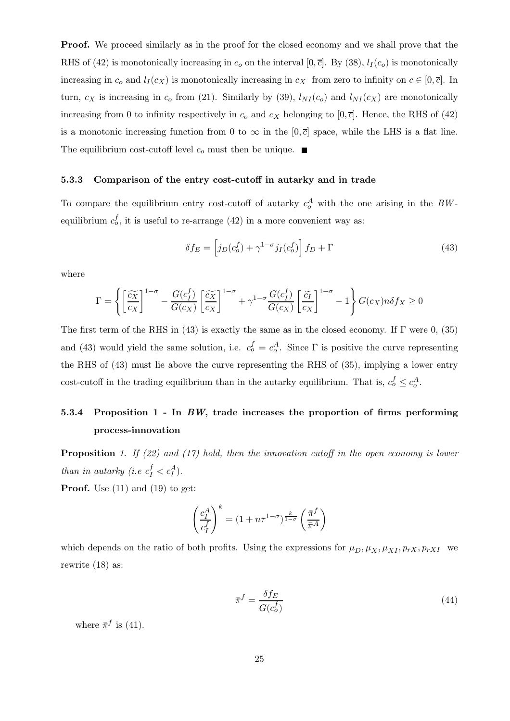**Proof.** We proceed similarly as in the proof for the closed economy and we shall prove that the RHS of (42) is monotonically increasing in  $c_0$  on the interval [0, $\overline{c}$ ]. By (38),  $l_I(c_0)$  is monotonically increasing in  $c_0$  and  $l_I (c_X)$  is monotonically increasing in  $c_X$  from zero to infinity on  $c \in [0, \overline{c}]$ . In turn,  $c_X$  is increasing in  $c_o$  from (21). Similarly by (39),  $l_{NI}(c_o)$  and  $l_{NI}(c_X)$  are monotonically increasing from 0 to infinity respectively in  $c_o$  and  $c_X$  belonging to [0,  $\bar{c}$ ]. Hence, the RHS of (42) is a monotonic increasing function from 0 to  $\infty$  in the [0,  $\bar{c}$ ] space, while the LHS is a flat line. The equilibrium cost-cutoff level  $c_0$  must then be unique.  $\blacksquare$ 

#### 5.3.3 Comparison of the entry cost-cutoff in autarky and in trade

To compare the equilibrium entry cost-cutoff of autarky  $c_o^A$  with the one arising in the BWequilibrium  $c_o^f$ , it is useful to re-arrange (42) in a more convenient way as:

$$
\delta f_E = \left[ j_D(c_o^f) + \gamma^{1-\sigma} j_I(c_o^f) \right] f_D + \Gamma \tag{43}
$$

where

$$
\Gamma = \left\{ \left[ \frac{\widetilde{cX}}{cX} \right]^{1-\sigma} - \frac{G(c_1^f)}{G(c_X)} \left[ \frac{\widetilde{cX}}{c_X} \right]^{1-\sigma} + \gamma^{1-\sigma} \frac{G(c_1^f)}{G(c_X)} \left[ \frac{\widetilde{cI}}{c_X} \right]^{1-\sigma} - 1 \right\} G(c_X) n \delta f_X \ge 0
$$

The first term of the RHS in  $(43)$  is exactly the same as in the closed economy. If  $\Gamma$  were 0,  $(35)$ and (43) would yield the same solution, i.e.  $c_o^f = c_o^A$ . Since  $\Gamma$  is positive the curve representing the RHS of (43) must lie above the curve representing the RHS of (35), implying a lower entry cost-cutoff in the trading equilibrium than in the autarky equilibrium. That is,  $c_o^f \n\leq c_o^A$ .

# 5.3.4 Proposition 1 - In BW, trade increases the proportion of firms performing process-innovation

**Proposition** 1. If (22) and (17) hold, then the innovation cutoff in the open economy is lower than in autarky (i.e  $c_I^f < c_I^A$ ).

**Proof.** Use  $(11)$  and  $(19)$  to get:

$$
\left(\frac{c_1^A}{c_1^f}\right)^k = (1 + n\tau^{1-\sigma})^{\frac{k}{1-\sigma}} \left(\frac{\bar{\pi}^f}{\bar{\pi}^A}\right)
$$

which depends on the ratio of both profits. Using the expressions for  $\mu_D, \mu_X, \mu_{X}$ ,  $p_{rX}, p_{rX}$  we rewrite (18) as:

$$
\bar{\pi}^f = \frac{\delta f_E}{G(c_o^f)}
$$
\n(44)

where  $\bar{\pi}^f$  is (41).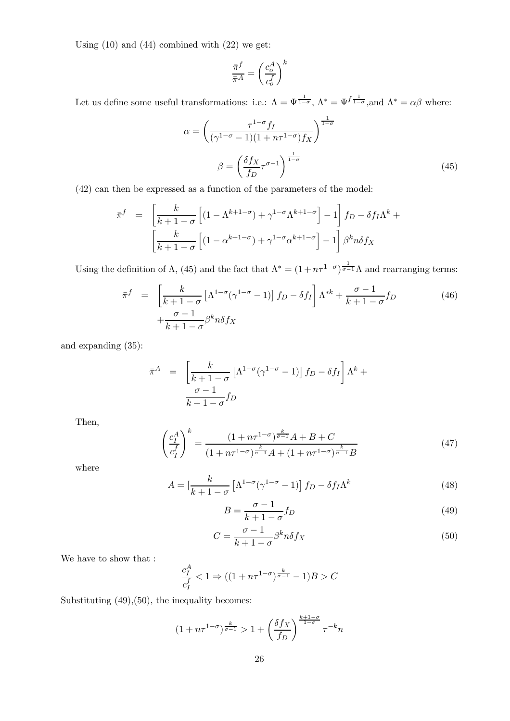Using  $(10)$  and  $(44)$  combined with  $(22)$  we get:

$$
\frac{\bar{\pi}^f}{\bar{\pi}^A} = \left(\frac{c_o^A}{c_o^f}\right)^k
$$

Let us define some useful transformations: i.e.:  $\Lambda = \Psi^{\frac{1}{1-\sigma}}$ ,  $\Lambda^* = \Psi^{\frac{1}{1-\sigma}}$ , and  $\Lambda^* = \alpha\beta$  where:

$$
\alpha = \left(\frac{\tau^{1-\sigma}f_I}{(\gamma^{1-\sigma}-1)(1+n\tau^{1-\sigma})f_X}\right)^{\frac{1}{1-\sigma}}
$$

$$
\beta = \left(\frac{\delta f_X}{f_D}\tau^{\sigma-1}\right)^{\frac{1}{1-\sigma}}
$$
(45)

(42) can then be expressed as a function of the parameters of the model:

$$
\bar{\pi}^f = \left[ \frac{k}{k+1-\sigma} \left[ (1 - \Lambda^{k+1-\sigma}) + \gamma^{1-\sigma} \Lambda^{k+1-\sigma} \right] - 1 \right] f_D - \delta f_I \Lambda^k + \left[ \frac{k}{k+1-\sigma} \left[ (1 - \alpha^{k+1-\sigma}) + \gamma^{1-\sigma} \alpha^{k+1-\sigma} \right] - 1 \right] \beta^k n \delta f_X
$$

Using the definition of  $\Lambda$ , (45) and the fact that  $\Lambda^* = (1 + n\tau^{1-\sigma})^{\frac{1}{\sigma-1}}\Lambda$  and rearranging terms:

$$
\bar{\pi}^f = \left[ \frac{k}{k+1-\sigma} \left[ \Lambda^{1-\sigma} (\gamma^{1-\sigma} - 1) \right] f_D - \delta f_I \right] \Lambda^{*k} + \frac{\sigma - 1}{k+1-\sigma} f_D\n+ \frac{\sigma - 1}{k+1-\sigma} \beta^k n \delta f_X
$$
\n(46)

and expanding (35):

$$
\bar{\pi}^A = \left[ \frac{k}{k+1-\sigma} \left[ \Lambda^{1-\sigma} (\gamma^{1-\sigma} - 1) \right] f_D - \delta f_I \right] \Lambda^k + \frac{\sigma - 1}{k+1-\sigma} f_D
$$

Then,

$$
\left(\frac{c_1^A}{c_1^f}\right)^k = \frac{(1 + n\tau^{1-\sigma})^{\frac{k}{\sigma-1}}A + B + C}{(1 + n\tau^{1-\sigma})^{\frac{k}{\sigma-1}}A + (1 + n\tau^{1-\sigma})^{\frac{k}{\sigma-1}}B}
$$
(47)

where

$$
A = \left[\frac{k}{k+1-\sigma} \left[\Lambda^{1-\sigma}(\gamma^{1-\sigma}-1)\right] f_D - \delta f_I \Lambda^k\right]
$$
\n(48)

$$
B = \frac{\sigma - 1}{k + 1 - \sigma} f_D \tag{49}
$$

$$
C = \frac{\sigma - 1}{k + 1 - \sigma} \beta^k n \delta f_X \tag{50}
$$

We have to show that :

$$
\frac{c_I^A}{c_I^f} < 1 \Rightarrow ((1 + n\tau^{1-\sigma})^{\frac{k}{\sigma - 1}} - 1)B > C
$$

Substituting (49),(50), the inequality becomes:

$$
(1 + n\tau^{1-\sigma})^{\frac{k}{\sigma-1}} > 1 + \left(\frac{\delta f_X}{f_D}\right)^{\frac{k+1-\sigma}{1-\sigma}} \tau^{-k} n
$$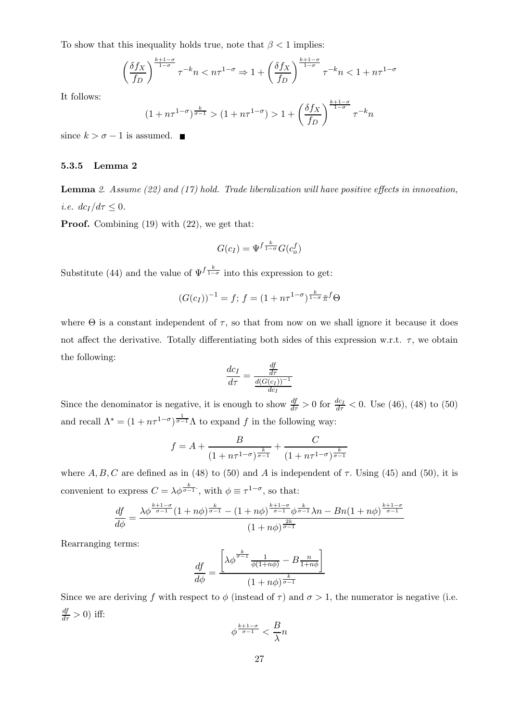To show that this inequality holds true, note that  $\beta < 1$  implies:

$$
\left(\frac{\delta f_X}{f_D}\right)^{\frac{k+1-\sigma}{1-\sigma}}\tau^{-k}n < n\tau^{1-\sigma} \Rightarrow 1 + \left(\frac{\delta f_X}{f_D}\right)^{\frac{k+1-\sigma}{1-\sigma}}\tau^{-k}n < 1 + n\tau^{1-\sigma}
$$

It follows:

$$
(1 + n\tau^{1-\sigma})^{\frac{k}{\sigma-1}} > (1 + n\tau^{1-\sigma}) > 1 + \left(\frac{\delta f_X}{f_D}\right)^{\frac{k+1-\sigma}{1-\sigma}} \tau^{-k} n
$$

since  $k > \sigma - 1$  is assumed.  $\blacksquare$ 

#### 5.3.5 Lemma 2

**Lemma** 2. Assume  $(22)$  and  $(17)$  hold. Trade liberalization will have positive effects in innovation, *i.e.*  $dc_I/d\tau \leq 0$ .

Proof. Combining (19) with (22), we get that:

$$
G(c_I) = \Psi^{f \frac{k}{1-\sigma}} G(c_o^f)
$$

Substitute (44) and the value of  $\Psi^f \frac{k}{1-\sigma}$  into this expression to get:

$$
(G(c_I))^{-1} = f; f = (1 + n\tau^{1-\sigma})^{\frac{k}{1-\sigma}} \bar{\pi}^f \Theta
$$

where  $\Theta$  is a constant independent of  $\tau$ , so that from now on we shall ignore it because it does not affect the derivative. Totally differentiating both sides of this expression w.r.t.  $\tau$ , we obtain the following:

$$
\frac{dc_I}{d\tau} = \frac{\frac{df}{d\tau}}{\frac{d(G(c_I))^{-1}}{dc_I}}
$$

Since the denominator is negative, it is enough to show  $\frac{df}{d\tau} > 0$  for  $\frac{dc_1}{d\tau} < 0$ . Use (46), (48) to (50) and recall  $\Lambda^* = (1 + n\tau^{1-\sigma})^{\frac{1}{\sigma-1}}\Lambda$  to expand f in the following way:

$$
f = A + \frac{B}{(1 + n\tau^{1-\sigma})^{\frac{k}{\sigma-1}}} + \frac{C}{(1 + n\tau^{1-\sigma})^{\frac{k}{\sigma-1}}}
$$

where A, B, C are defined as in (48) to (50) and A is independent of  $\tau$ . Using (45) and (50), it is convenient to express  $C = \lambda \phi^{\frac{k}{\sigma-1}}$ , with  $\phi \equiv \tau^{1-\sigma}$ , so that:

$$
\frac{df}{d\phi} = \frac{\lambda \phi^{\frac{k+1-\sigma}{\sigma-1}} (1+n\phi)^{\frac{k}{\sigma-1}} - (1+n\phi)^{\frac{k+1-\sigma}{\sigma-1}} \phi^{\frac{k}{\sigma-1}} \lambda n - Bn(1+n\phi)^{\frac{k+1-\sigma}{\sigma-1}}}{(1+n\phi)^{\frac{2k}{\sigma-1}}}
$$

Rearranging terms:

$$
\frac{df}{d\phi} = \frac{\left[\lambda \phi^{\frac{k}{\sigma-1}} \frac{1}{\phi(1+n\phi)} - B \frac{n}{1+n\phi}\right]}{(1+n\phi)^{\frac{k}{\sigma-1}}}
$$

Since we are deriving f with respect to  $\phi$  (instead of  $\tau$ ) and  $\sigma > 1$ , the numerator is negative (i.e.  $\frac{df}{d\tau} > 0$ ) iff:

$$
\phi^{\frac{k+1-\sigma}{\sigma-1}} < \frac{B}{\lambda}n
$$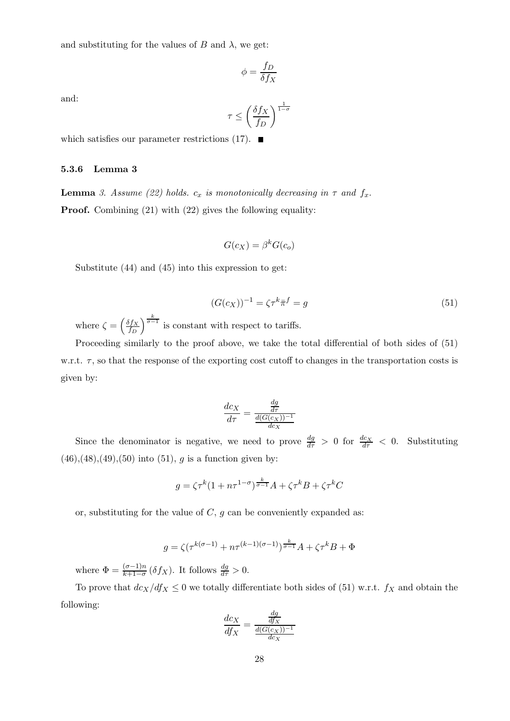and substituting for the values of  $B$  and  $\lambda$ , we get:

$$
\phi = \frac{f_D}{\delta f_X}
$$

and:

$$
\tau \leq \left(\frac{\delta f_X}{f_D}\right)^{\frac{1}{1-\sigma}}
$$

which satisfies our parameter restrictions  $(17)$ .

#### 5.3.6 Lemma 3

**Lemma** 3. Assume (22) holds.  $c_x$  is monotonically decreasing in  $\tau$  and  $f_x$ . Proof. Combining (21) with (22) gives the following equality:

$$
G(c_X) = \beta^k G(c_o)
$$

Substitute (44) and (45) into this expression to get:

$$
(G(c_X))^{-1} = \zeta \tau^k \overline{\pi}^f = g \tag{51}
$$

where  $\zeta = \left(\frac{\delta f_X}{f_D}\right)^{\frac{k}{\sigma-1}}$  is constant with respect to tariffs.

Proceeding similarly to the proof above, we take the total differential of both sides of  $(51)$ w.r.t.  $\tau$ , so that the response of the exporting cost cutoff to changes in the transportation costs is given by:

$$
\frac{dc_X}{d\tau} = \frac{\frac{dg}{d\tau}}{\frac{d(G(c_X))^{-1}}{dc_X}}
$$

Since the denominator is negative, we need to prove  $\frac{dg}{d\tau} > 0$  for  $\frac{dc_X}{d\tau} < 0$ . Substituting  $(46),(48),(49),(50)$  into  $(51), g$  is a function given by:

$$
g = \zeta \tau^k (1 + n\tau^{1-\sigma})^{\frac{k}{\sigma-1}} A + \zeta \tau^k B + \zeta \tau^k C
$$

or, substituting for the value of  $C$ ,  $g$  can be conveniently expanded as:

$$
g = \zeta(\tau^{k(\sigma-1)} + n\tau^{(k-1)(\sigma-1)})^{\frac{k}{\sigma-1}}A + \zeta\tau^kB + \Phi
$$

where  $\Phi = \frac{(\sigma - 1)n}{k+1-\sigma} (\delta f_X)$ . It follows  $\frac{dg}{d\tau} > 0$ .

To prove that  $dc_X/df_X \leq 0$  we totally differentiate both sides of (51) w.r.t.  $f_X$  and obtain the following:

$$
\frac{dc_X}{df_X} = \frac{\frac{dg}{df_X}}{\frac{d(G(c_X))^{-1}}{dc_X}}
$$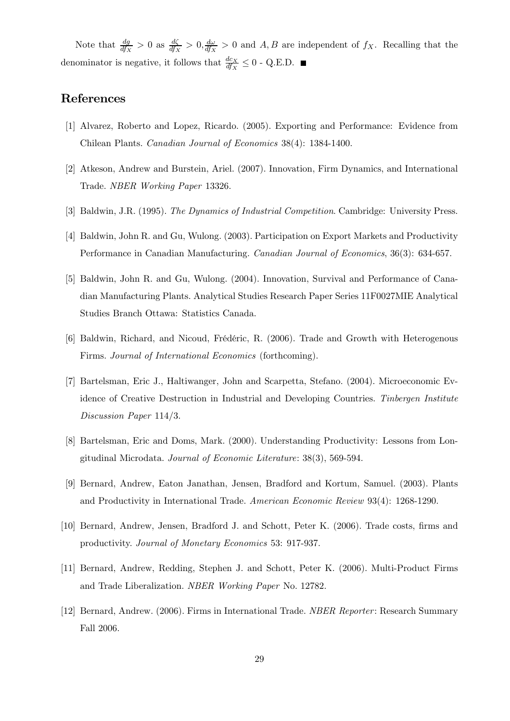Note that  $\frac{dg}{df_X} > 0$  as  $\frac{d\zeta}{df_X} > 0$ ,  $\frac{d\omega}{df_X} > 0$  and A, B are independent of  $f_X$ . Recalling that the denominator is negative, it follows that  $\frac{dc_X}{df_X} \leq 0$  - Q.E.D.

# References

- [1] Alvarez, Roberto and Lopez, Ricardo. (2005). Exporting and Performance: Evidence from Chilean Plants. Canadian Journal of Economics 38(4): 1384-1400.
- [2] Atkeson, Andrew and Burstein, Ariel. (2007). Innovation, Firm Dynamics, and International Trade. NBER Working Paper 13326.
- [3] Baldwin, J.R. (1995). The Dynamics of Industrial Competition. Cambridge: University Press.
- [4] Baldwin, John R. and Gu, Wulong. (2003). Participation on Export Markets and Productivity Performance in Canadian Manufacturing. Canadian Journal of Economics, 36(3): 634-657.
- [5] Baldwin, John R. and Gu, Wulong. (2004). Innovation, Survival and Performance of Canadian Manufacturing Plants. Analytical Studies Research Paper Series 11F0027MIE Analytical Studies Branch Ottawa: Statistics Canada.
- [6] Baldwin, Richard, and Nicoud, Frédéric, R. (2006). Trade and Growth with Heterogenous Firms. Journal of International Economics (forthcoming).
- [7] Bartelsman, Eric J., Haltiwanger, John and Scarpetta, Stefano. (2004). Microeconomic Evidence of Creative Destruction in Industrial and Developing Countries. Tinbergen Institute Discussion Paper 114/3.
- [8] Bartelsman, Eric and Doms, Mark. (2000). Understanding Productivity: Lessons from Longitudinal Microdata. Journal of Economic Literature: 38(3), 569-594.
- [9] Bernard, Andrew, Eaton Janathan, Jensen, Bradford and Kortum, Samuel. (2003). Plants and Productivity in International Trade. American Economic Review 93(4): 1268-1290.
- [10] Bernard, Andrew, Jensen, Bradford J. and Schott, Peter K. (2006). Trade costs, firms and productivity. Journal of Monetary Economics 53: 917-937.
- [11] Bernard, Andrew, Redding, Stephen J. and Schott, Peter K. (2006). Multi-Product Firms and Trade Liberalization. NBER Working Paper No. 12782.
- [12] Bernard, Andrew. (2006). Firms in International Trade. NBER Reporter: Research Summary Fall 2006.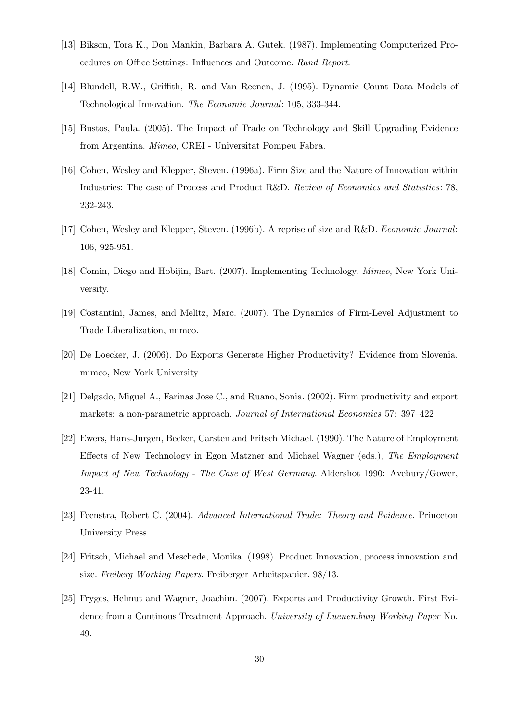- [13] Bikson, Tora K., Don Mankin, Barbara A. Gutek. (1987). Implementing Computerized Procedures on Office Settings: Influences and Outcome. Rand Report.
- [14] Blundell, R.W., Griffith, R. and Van Reenen, J. (1995). Dynamic Count Data Models of Technological Innovation. The Economic Journal: 105, 333-344.
- [15] Bustos, Paula. (2005). The Impact of Trade on Technology and Skill Upgrading Evidence from Argentina. Mimeo, CREI - Universitat Pompeu Fabra.
- [16] Cohen, Wesley and Klepper, Steven. (1996a). Firm Size and the Nature of Innovation within Industries: The case of Process and Product R&D. Review of Economics and Statistics: 78, 232-243.
- [17] Cohen, Wesley and Klepper, Steven. (1996b). A reprise of size and R&D. Economic Journal: 106, 925-951.
- [18] Comin, Diego and Hobijin, Bart. (2007). Implementing Technology. Mimeo, New York University.
- [19] Costantini, James, and Melitz, Marc. (2007). The Dynamics of Firm-Level Adjustment to Trade Liberalization, mimeo.
- [20] De Loecker, J. (2006). Do Exports Generate Higher Productivity? Evidence from Slovenia. mimeo, New York University
- [21] Delgado, Miguel A., Farinas Jose C., and Ruano, Sonia. (2002). Firm productivity and export markets: a non-parametric approach. Journal of International Economics 57: 397—422
- [22] Ewers, Hans-Jurgen, Becker, Carsten and Fritsch Michael. (1990). The Nature of Employment Effects of New Technology in Egon Matzner and Michael Wagner (eds.), The Employment Impact of New Technology - The Case of West Germany. Aldershot 1990: Avebury/Gower, 23-41.
- [23] Feenstra, Robert C. (2004). Advanced International Trade: Theory and Evidence. Princeton University Press.
- [24] Fritsch, Michael and Meschede, Monika. (1998). Product Innovation, process innovation and size. Freiberg Working Papers. Freiberger Arbeitspapier. 98/13.
- [25] Fryges, Helmut and Wagner, Joachim. (2007). Exports and Productivity Growth. First Evidence from a Continous Treatment Approach. University of Luenemburg Working Paper No. 49.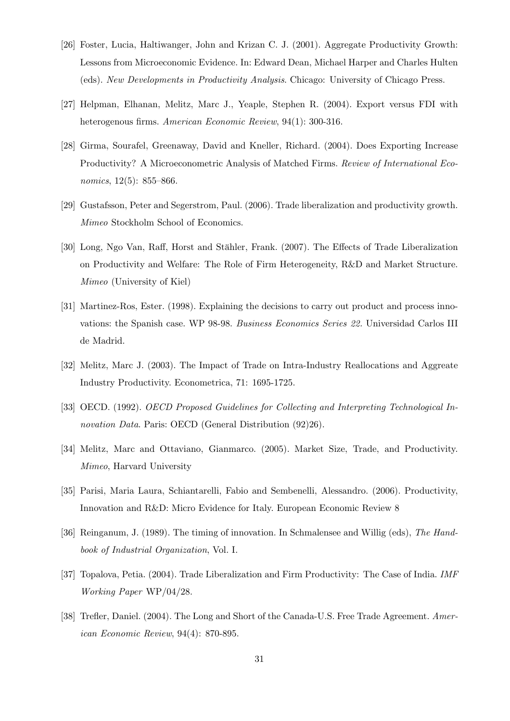- [26] Foster, Lucia, Haltiwanger, John and Krizan C. J. (2001). Aggregate Productivity Growth: Lessons from Microeconomic Evidence. In: Edward Dean, Michael Harper and Charles Hulten (eds). New Developments in Productivity Analysis. Chicago: University of Chicago Press.
- [27] Helpman, Elhanan, Melitz, Marc J., Yeaple, Stephen R. (2004). Export versus FDI with heterogenous firms. American Economic Review, 94(1): 300-316.
- [28] Girma, Sourafel, Greenaway, David and Kneller, Richard. (2004). Does Exporting Increase Productivity? A Microeconometric Analysis of Matched Firms. Review of International Economics, 12(5): 855–866.
- [29] Gustafsson, Peter and Segerstrom, Paul. (2006). Trade liberalization and productivity growth. Mimeo Stockholm School of Economics.
- [30] Long, Ngo Van, Raff, Horst and Stähler, Frank. (2007). The Effects of Trade Liberalization on Productivity and Welfare: The Role of Firm Heterogeneity, R&D and Market Structure. Mimeo (University of Kiel)
- [31] Martinez-Ros, Ester. (1998). Explaining the decisions to carry out product and process innovations: the Spanish case. WP 98-98. Business Economics Series 22. Universidad Carlos III de Madrid.
- [32] Melitz, Marc J. (2003). The Impact of Trade on Intra-Industry Reallocations and Aggreate Industry Productivity. Econometrica, 71: 1695-1725.
- [33] OECD. (1992). OECD Proposed Guidelines for Collecting and Interpreting Technological Innovation Data. Paris: OECD (General Distribution  $(92)26$ ).
- [34] Melitz, Marc and Ottaviano, Gianmarco. (2005). Market Size, Trade, and Productivity. Mimeo, Harvard University
- [35] Parisi, Maria Laura, Schiantarelli, Fabio and Sembenelli, Alessandro. (2006). Productivity, Innovation and R&D: Micro Evidence for Italy. European Economic Review 8
- [36] Reinganum, J. (1989). The timing of innovation. In Schmalensee and Willig (eds), The Handbook of Industrial Organization, Vol. I.
- [37] Topalova, Petia. (2004). Trade Liberalization and Firm Productivity: The Case of India. IMF Working Paper WP/04/28.
- [38] Trefler, Daniel. (2004). The Long and Short of the Canada-U.S. Free Trade Agreement. American Economic Review, 94(4): 870-895.